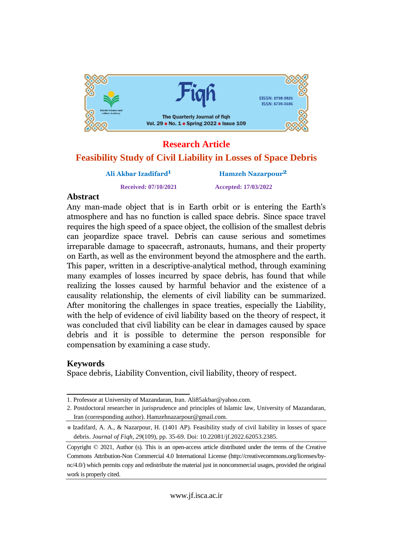

# **Research Article**

### **Feasibility Study of Civil Liability in Losses of Space Debris**

# **Ali Akbar Izadifard**

**Received: 07/10/2021 Accepted: 17/03/2022**

**Hamzeh Nazarpour2**

### **Abstract**

A**bstract**<br>Any man-made object that is in Earth orbit or is entering the Earth's Any man-made object that is in Earth orbit or is entering the Earth's<br>atmosphere and has no function is called space debris. Since space travel atmosphere and has no function is called space debris. Since space travel<br>requires the high speed of a space object, the collision of the smallest debris requires the high speed of a space object, the collision of the smallest debris<br>can jeopardize space travel. Debris can cause serious and sometimes can jeopardize space travel. Debris can cause serious and sometimes<br>irreparable damage to spacecraft, astronauts, humans, and their property on Earth, as well as the environment beyond the atmosphere and the earth. on Earth, as well as the environment beyond the atmosphere and the earth.<br>This paper, written in a descriptive-analytical method, through examining This paper, written in a descriptive-analytical method, through examining<br>many examples of losses incurred by space debris, has found that while many examples of losses incurred by space debris, has found that while<br>realizing the losses caused by harmful behavior and the existence of a causality relationship, the elements of civil liability can be summarized. After monitoring the challenges in space treaties, especially the Liability, Atter monitoring the challenges in space treaties, especially the Liability,<br>with the help of evidence of civil liability based on the theory of respect, it with the help of evidence of civil liability based on the theory of respect, it<br>was concluded that civil liability can be clear in damages caused by space was concluded that civil hability can be clear in damages caused by space<br>debris and it is possible to determine the person responsible for compensation by examining a case study.

### Keywords

Space debris, Liability Convention, civil liability, theory of respect.

<sup>1.</sup> Professor at University of Mazandaran, Iran. [Ali85akbar@yahoo.com.](mailto:Ali85akbar@yahoo.com.)

<sup>2.</sup> Postdoctoral researcher in jurisprudence and principles of Islamic law, University of Mazandaran, Iran (corresponding author). [Hamzehnazarpour@gmail.com.](mailto:Hamzehnazarpour@gmail.com.)

<sup>\*</sup> Izadifard, A. A., & Nazarpour, H. (1401 AP). Feasibility study of civil liability in losses of space debris. *Journal of Fiqh, 29*(109), pp. 35-69. Doi: 10.22081/jf.2022.62053.2385.

Copyright © 2021, Author (s). This is an open-access article distributed under the terms of the Creative Commons Attribution-Non Commercial 4.0 International License (http://creativecommons.org/licenses/by nc/4.0/) which permits copy and redistribute the material just in noncommercial usages, provided the original work is properly cited.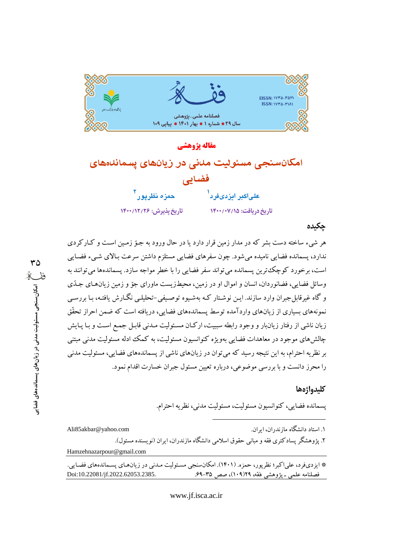

مقاله يژوهشي امکانسنجی مسئولیت مدنی در زیانهای یسماندههای فضایی علىاكبر ايزدىفرد<sup>ا</sup> حمزه نظريو را تاريخ پذيرش: ١٤٠٠/١٢/٢٤ تاریخ دریافت: ۱۴۰۰/۰۷/۱۵

### چکیده

هر شيء ساخته دست بشر كه در مدار زمين قرار دارد يا در حال ورود به جـوّ زمـين اسـت و كـاركردي ندارد، پسمانده فضایی نامیده میشود. چون سفرهای فضایی مستلزم داشتن سرعت بـالای شـیء فضـایی است، برخورد کوچک ترین پسمانده می تواند سفر فضایی را با خطر مواجه سازد. پسماندهها می توانند به وسائل فضایی، فضانوردان، انسان و اموال او در زمین، محیطزیست ماورای جوّ و زمین زیانهای جـلّتی و گاه غیرقابل جبران وارد سازند. ایـن نوشـتار کـه بهشـبوه توصـبفی-تحلیلـی نگـارش یافتـه، بـا بررسـی نمونههای بسیاری از زیانهای واردآمده توسط پسماندههای فضایی، دریافته است که ضمن احراز تحقّق زیان ناشی از رفتار زیانبار و وجود رابطه سببیت، ارکـان مسـئولیت مـدنی قابـل جمـع اسـت و بـا پـایش چالشهای موجود در معاهدات فضایی بهویژه کنوانسیون مسئولیت، به کمک ادله مسئولیت مدنی مبتنی بر نظریه احترام، به این نتیجه رسید که می توان در زیانهای ناشی از پسماندههای فضایی، مسئولیت مدنی را محرز دانست و با بررسی موضوعی، درباره تعیین مسئول جبران خسارت اقدام نمود.

### كليدواژهها

پسمانده فضایی، کنوانسیون مسئولیت، مسئولیت مدنبی، نظریه احترام.

۱. استاد دانشگاه مازندران، ابران.

Ali85akbar@yahoo.com

۲. یژوهشگر یسادکتری فقه و مبانی حقوق اسلامی دانشگاه مازندران، ایران (نویسنده مسئول). Hamzehnazarpour@gmail.com

\* ایزدیفرد، علی اکبر؛ نظر یور، حمزه. (۱۴۰۱). امکانسنجی مسئولیت مـدنی در زیانهـای یسـماندههای فضـایی. Doi:10.22081/jf.2022.62053.2385. فصلنامه علمي ـ يؤوهشي فقه، ١٩(١٠٩)، صص ٣٥-۶۹.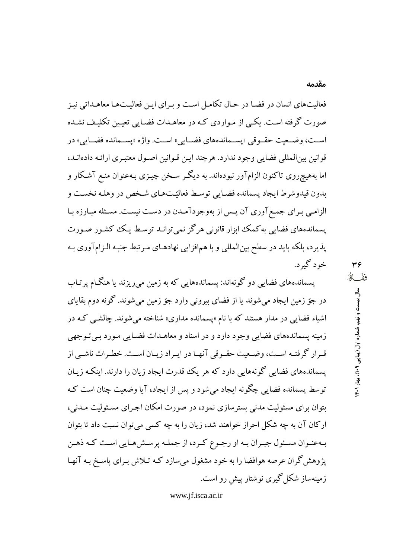فعالیتهای انسان در فضا در حال تکامل است و بـرای ایـن فعالیـتهـا معاهـداتی نیـز صورت گرفته است. یکمی از مـواردی کـه در معاهـدات فضـایی تعیـین تکلیـف نشـده اسـت، وضـعيت حقـوقي «پسـماندههاي فضـايي» اسـت. واژه «پسـمانده فضـايي» در قوانين بين|لمللي فضايي وجود ندارد. هرچند ايـن قـوانين اصـول معتبـري ارائـه دادهانــد، اما بههیچروی تاکنون الزامآور نبودهاند. به دیگـر سـخن چیـزی بـهعنوان منـع آشـکار و بدون قیدوشرط ایجاد پسمانده فضایی توسط فعالیّتهای شخص در وهلـه نخسـت و الزامبي بـراي جمـع آوري آن پـس از بهوجودآمـدن در دسـت نيسـت. مسـئله مبـارزه بـا یسماندههای فضایی به کمک ابزار قانونی هرگز نمی توانـد توسـط یـک کشـور صـورت پذیرد، بلکه باید در سطح بینالمللی و با همافزایی نهادهـای مـرتبط جنبـه الـزامآوری بـه خود گېرد.

پسماندههای فضایی دو گونهاند: پسماندههایی که به زمین می ریزند یا هنگـام پرتـاب در جوّ زمین ایجاد میشوند یا از فضای بیرونی وارد جوّ زمین می شوند. گونه دوم بقایای اشیاء فضایی در مدار هستند که با نام «پسمانده مداری» شناخته می شوند. چالشبی کـه در زمینه پسماندههای فضایی وجود دارد و در اسناد و معاهـدات فضـایی مـورد بـی تـوجهی قبرار گرفتـه اسـت، وضـعيت حقـوقي آنهـا در ايـراد زيـان اسـت. خطـرات ناشـي از پسماندههای فضایی گونههایی دارد که هر یک قدرت ایجاد زیان را دارند. اینکه زیـان توسط پسمانده فضایی چگونه ایجاد میشود و پس از ایجاد، آیا وضعیت چنان است کـه بتوان برای مسئولیت مدنی بسترسازی نمود، در صورت امکان اجـرای مسـئولیت مـدنی، ارکان آن به چه شکل احراز خواهند شد، زیان را به چه کسی میتوان نسبت داد تا بتوان بهعنـوان مسـئول جبـران بـه او رجـوع كـرد، از جملـه پرســش،هـايي اسـت كـه ذهـن یژوهش گران عرصه هوافضا را به خود مشغول می سازد کـه تـلاش بـرای پاسـخ بـه آنهـا زمینهساز شکل گیری نوشتار پیش رو است.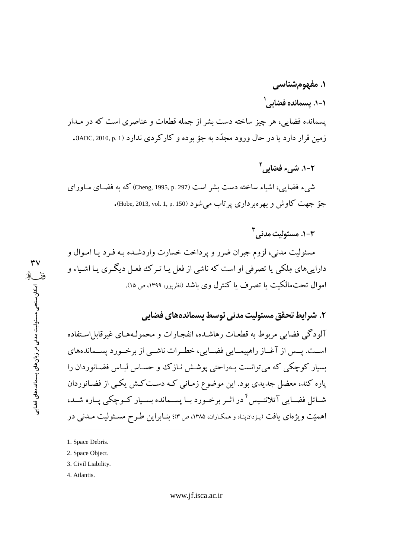# ۱. مفهومشناس*ی*

۱-۱. پسمانده فضا*نی ۱* 

پسمانده فضایی، هر چیز ساخته دست بشر از جمله قطعات و عناصری است که در مـدار زمین قرار دارد یا در حال ورود مجدّد به جوّ بوده و کارکر دی ندارد (IADC, 2010, p. 1).

۲-۱. شيء فضايي<sup>۲</sup>

شبيء فضايبي، اشياء ساخته دست بشر است (Cheng, 1995, p. 297) كه به فضـاي مـاوراي جوّ جهت کاوش و بهره بر داري پر تاب مي شو د (Hobe, 2013, vol. 1, p. 150).

 $r$ –۱. مسئولت مدنی $r$ 

مسئولیت مدنی، لزوم جبران ضرر و پرداخت خسارت واردشـده بـه فـرد یـا امـوال و داراییهای مِلکی یا تصرفی او است که ناشی از فعل یـا تـرک فعـل دیگـری یـا اشـیاء و اموال تحت،الكت يا تصرف يا كنترل وي باشد (نظريور، ١٣٩٩، ص ١٥).

### ٢. شرايط تحقق مسئوليت مدني توسط يسماندههاي فضايي

آلودگی فضایی مربوط به قطعـات رهاشـده، انفجـارات و محمولـههـای غیرقابل|سـتفاده اسـت. يــس از آغــاز راهپيمــايي فضــايي، خطــرات ناشــي از برخــورد پســماندههاي بسیار کوچکی که می توانست بـهراحتی پوشـش نـازک و حسـاس لبـاس فضـانوردان را پاره کند، معضل جدیدی بود. این موضوع زمـانی کـه دسـتکـش یکـی از فضـانوردان شــاتل فضــايي آتلانتـيس ٔ در اثــر برخــورد بــا پســمانده بســيار كــوچكي پــاره شــد، اهمیّت ویژهای یافت (پزدانپناه و همکاران، ۱۳۸۵، ص ۳)؛ بنـابراین طـرح مسـئولیت مــدنی در

- 1. Space Debris.
- 2. Space Object.
- 3. Civil Liability.
- 4. Atlantis.

٣٧

برنجا<br>برخ<br>برخ امکان سنجی مسئولیت مدنی در زیان های بسماندههای فضایی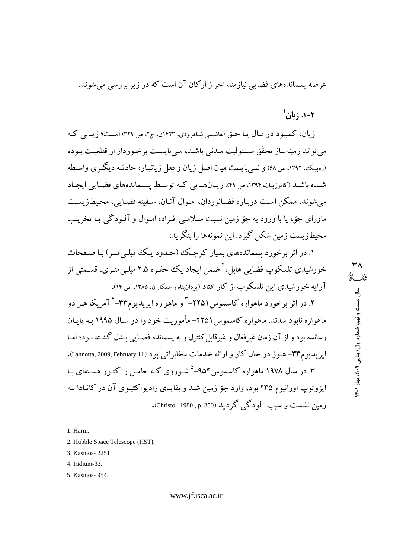عرصه پسماندههای فضایی نبازمند احراز ارکان آن است که در زیر بررسی می شوند.

 $1_{c1}$ : با $1 - 7$ 

 $\mathsf{r}_\Lambda$ 

ففكه

سال بیست و نهم، شماره اول (پیاپی ۹۰۹)، بهار ۱۴۰۱

زیان، کمبود در مال یا حتی (هاشمی شاهرودی، ۱۴۲۳ق، ج۲، ص ۳۲۹) است؛ زیانی که می تواند زمینهساز تحقَّق مسـئولیت مـدنی باشـد، مـی بایسـت برخـو ردار از قطعیـت بـوده (رهیک، ۱۳۹۲، ص۹۸) و نمی بایست میان اصل زیان و فعل زیانبـار، حادثـه دیگـری واسـطه شـده باشـد (کاتوزیـان، ۱۳۹۴، ص ۴۹). زیـانهـایی کـه توسـط یسـماندههای فضـایی ایجـاد می شوند، ممکن است درباره فضانوردان، امـوال آنـان، سـفينه فضـابي، محـيطـزيسـت ماورای جوّ، یا با ورود به جوّ زمین نسبت سلامتی افـراد، امـوال و آلـودگی یـا تخریـب محبطزيست زمين شكل گيرد. اين نمونهها را پنگريد:

۱. در اثر برخورد پسماندههای بسیار کوچک (حیدود یک میلی متبر) یا صفحات خورشیدی تلسکوپ فضایی هایل<sup>، ۲</sup> ضمن ایجاد یک حفیره ۲.۵ میل*ی مت*ری، قسیمتی از آرایه خورشیدی این تلسکوپ از کار افتاد (یزدان پناه و همکاران، ۱۳۸۵، ص ۱۴).

۲. در اثر برخورد ماهواره کاسموس ۲۲۵۱–<sup>۳</sup> و ماهواره ایریدیوم۳۳-<sup>۴</sup> آمریکا هـر دو ماهواره نابود شدند. ماهواره کاسموس ۲۲۵۱- مأموریت خود را در سـال ۱۹۹۵ بـه پایـان رسانده بود و از آن زمان غیرفعال و غیرقابل کنترل و به پسمانده فضـایی بـدل گشـته بـود؛ امـا ايريديوم٣٣- هنوز در حال كار و ارائه خدمات مخابراتي بود (Lannotta, 2009, February 11). ۳. در سال ۱۹۷۸ ماهواره کاسموس ۹۵۴-<sup>۵</sup> شـوروی کـه حامـل رآکتـور هسـتهای بـا ایزوتوپ اورانیوم ۲۳۵ بود، وارد جوّ زمین شـد و بقایـای رادیواکتیـوی آن در کانـادا بـه زمین نشست و سبب آلودگے گے دید (Christol, 1980 , p. 350).

<sup>1.</sup> Harm.

<sup>2.</sup> Hubble Space Telescope (HST).

<sup>3.</sup> Kasmos-2251.

<sup>4.</sup> Iridium-33.

<sup>5.</sup> Kasmos- 954.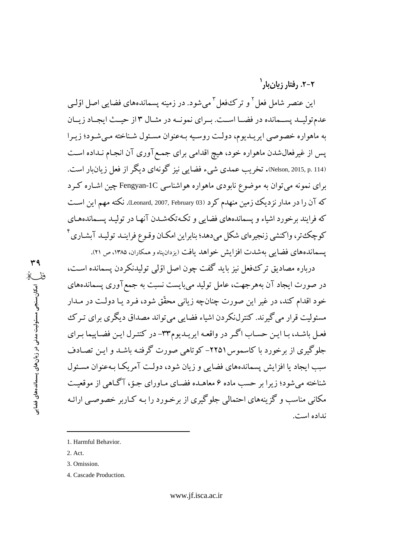**ęʭýŏʭŰěęʭĄĿę ʵ-ʵ**

این عنصر شامل فعل <sup>۲</sup> و ترک\$فعل <sup>۳</sup> میشود. در زمینه پسماندههای فضایی اصل اوّلـی عدم توليـد يسـمانده در فضـا اسـت. بـراي نمونـه در مثـال ١٣ز حيـث ايجـاد زيـان به ماهواره خصوصي ايريـديوم، دولـت روسـيه بـهعنوان مسـئول شـناخته مـيشـود؛ زيـرا پس از غیرفعال شدن ماهواره خود، هیچ اقدامی برای جمع آوری آن انجـام نـداده اسـت Nelson, 2015, p. 114). تخريب عمدي شيء فضايي نيز گونهاي ديگر از فعل زيانبار است. برای نمونه می توان به موضوع نابودی ماهواره هواشناسی Fengyan-1C چین اشـاره کـرد که آن را در مدار نزدیک زمین منهدم کرد (Leonard, 2007, February 03). نکته مهم این است که فرایند برخورد اشیاء و پسماندههای فضایی و تکهتکهشـدن آنهـا در تولیـد پســماندههـای كه حكة تورورة اكتشير ذنجه واي شكل مردهد؛ بنار ابن امكيان وقيوع فراينيد تولييد آيشاري<sup>ء</sup>َ یسماندههای فضایی بهشدت افزایش خواهد یافت (یزدانیناه و همکاران، ۱۳۸۵، ص ۲۱).

درباره مصاديق ترك\$فعل نيز بايد گفت چون اصل اوّلي توليدنكردن يسمانده است، در صورت ایجاد آن بههرجهت، عامل تولید میبایست نسبت به جمع آوری پسماندههای خود اقدام کند، در غیر این صورت چنانچه زیانی محقّق شود، فـرد یـا دولـت در مـدار مسئوليت قرار مي گيرند. كنترلنكردن اشياء فضايي مي تواند مصداق ديگري براي تير ك فعـل باشـد، بـا ايـن حسـاب اگـر در واقعـه ايريـديوم٣٣- در كنتـرل ايـن فضـاييما بـراي جلوگیری از برخورد با کاسموس ۲۲۵۱– کو تاهی صورت گرفته باشـد و ایـن تصـادف سبب ایجاد یا افزایش پسماندههای فضایی و زیان شود، دولت آمریکا بـهعنوان مسـئول شناخته می شود؛ زیرا بر حسب ماده ۶ معاهیده فضیای میاورای جبوّ، آگیاهی از موقعیت مکانی مناسب و گزینههای احتمالی جلوگیری از برخورد را بـه کـاربر خصوصـی ارائـه نداده است.

<sup>1.</sup> Harmful Behavior.

<sup>2.</sup> Act.

<sup>3.</sup> Omission.

<sup>4.</sup> Cascade Production.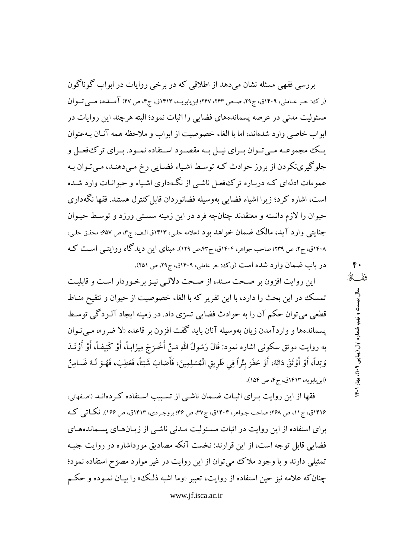بررسی فقهی مسئله نشان میدهد از اطلاقی که در برخی روایات در ابواب گوناگون (رکئ: حر عباملی، ۱۴۰۹ق، ج۲۹، صبص ۲۴۳، ۲۴۷؛ ابن بابویبه، ۱۴۱۳ق، ج۴، ص ۴۷) آمساده، مسی تسوان مسئولیت مدنی در عرصه پسماندههای فضایی را اثبات نمود؛ البته هرچند این روایات در ابواب خاصی وارد شدهاند، اما با الغاء خصوصیت از ابواب و ملاحظه همه آنیان به عنوان یــک مجموعــه مــی تــوان بــرای نیــل بــه مقصــود اســتفاده نمــود. بــرای تر کـُفعــل و جلوگیرینکردن از بروز حوادث که توسط اشیاء فضایی رخ میدهنـد، میتوان بـه عمومات ادلهای کـه دربـاره ترکـُفعـل ناشـی از نگـهداری اشـیاء و حیوانـات وارد شـده است، اشاره کرد؛ زیرا اشیاء فضایبی بهوسیله فضانوردان قابل کنترل هستند. فقها نگهداری حیوان را لازم دانسته و معتقدند چنانچه فرد در این زمینه سستی ورزد و توسط حیـوان جنايتي وارد آيد، مالك ضمان خواهد بود (علامه حلي، ١٤١٣ق الـف، ج٣، ص ٤٥٧؛ محقق حلبي، ۱۴۰۸ق، ج۲، ص ۲۳۹؛ صاحب جواهر، ۱۴۰۴ق، ج۴۳مص ۱۲۹). مبنای این دیدگاه روایتبی است ک در باب ضمان وارد شده است (ر.که: حر عاملی، ۱۴۰۹ق، ج۲۹، ص ۲۵۱).

این روایت افزون بر صحت سند، از صحت دلالبی نیز برخوردار است و قابلیت تمسك در اين بحث را دارد، با اين تقرير كه با الغاء خصوصيت از حيوان و تنقيح منـاط قطعي مي توان حكم آن را به حوادث فضايي تسرِّي داد. در زمينه ايجاد آلـودگي توسـط يسماندهها و واردآمدن زيان بهوسيله آنان بايد گفت افزون بر قاعده «لا ضرر»، مبي تـوان به روايت موثق سكوني اشاره نمود: قَالَ رَسُولُ اللهِ مَـنْ أَخْـرَجَ مِيزَابِـاً، أَوْ كَنِيفـاً، أَوْ أَوْتَـدَ وَتِداً، أَوْ أَوْثَقَ دَابَةً، أَوْ حَفَرَ بِثْراً فِي طَرِيقِ الْمُسْلِمِينَ، فَأَصَابَ شَيْئاً، فَعَطِبَ، فَهُـوَ لَـهُ ضَــامِنٌ (ابن بابويه، ١٤١٣ق، ج۴، ص ١٥۴).

فقها از این روایت بـرای اثبـات ضـمان ناشـی از تسـبیب اسـتفاده کـردهانـد (اصفهانی، ۱۴۱۶ق، ج۱۱، ص ۲۶۸؛ صاحب جـواهر، ۱۴۰۴ق، ج۳۷، ص ۴۶؛ بروجـردی، ۱۴۱۳ق، ص ۱۶۶). نکـاتم <sub>،</sub> کـه برای استفاده از این روایت در اثبات مسئولیت مـدنی ناشـی از زیـانهـای پسـماندههـای فضایی قابل توجه است، از این قرارند: نخست آنکه مصادیق مورداشاره در روایت جنبه تمثیلی دارند و با وجود ملاک می توان از این روایت در غیر موارد مصرّح استفاده نمود؛ چنان که علامه نیز حین استفاده از روایت، تعبیر «وما اشبه ذلک، را بیـان نمـوده و حکـم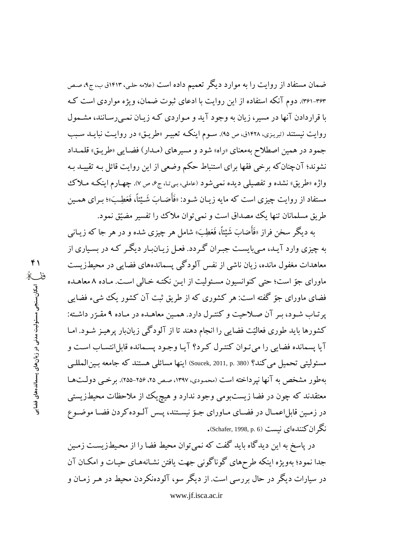ضمان مستفاد از روایت را به موارد دیگر تعمیم داده است (علامه حلبی، ۱۴۱۳ق ب، ج۰، صص ۳۶۳-۳۶۱). دوم آنکه استفاده از این روایت با ادعای ثبوت ضمان، ویژه مواردی است ک با قراردادن آنها در مسیر، زیان به وجود آید و مـواردی کـه زیـان نمـی رسـانند، مشـمول روایت نیستند (تبریزی، ۱۴۲۸ق، ص ۹۵). سـوم اینکـه تعبیـر «طریـق» در روایـت نبایـد سـبب جمود در همین اصطلاح بهمعنای «راه» شود و مسیرهای (مـدار) فضـایـی «طریـق» قلمـداد نشوند؛ آنچنانکه برخی فقها برای استنباط حکم وضعی از این روایت قائل بـه تقییـد بـه واژه «طریق» نشده و تفصیلی دیده نمی شود (عاملی، بهتا، ج۶، ص ۷). چهارم اینکه مـلاک مستفاد از روایت چیزی است که مایه زیـان شـود: «فَأَصَـابَ شَـيْنَاً، فَعَطِـبَ»؛ بـرای همـین طريق مسلمانان تنها يك مصداق است و نمي توان ملاك را تفسير مضيّق نمود.

به دیگر سخن فراز «فَأَصَابَ شَيْئاً، فَعَطِبَ» شامل هر چیزی شده و در هر جا که زیـان<sub>ی</sub> به چیزی وارد آیـد، مـی،بایسـت جبـران گـردد. فعـل زیـان.بار دیگـر کـه در بسـیاری از معاهدات مغفول مانده، زیان ناشی از نفس آلودگی پسماندههای فضایی در محیطزیست ماورای جوّ است؛ حتی کنوانسیون مسئولیت از ایـن نکتـه خـالی اسـت. مـاده ۸ معاهـده فضای ماورای جوّ گفته است: هر کشوری که از طریق ثبت آن کشور یک شیء فضایی ير تـاب شـود، بـر آن صـلاحيت و كنتـرل دارد. همـين معاهـده در مـاده ۹ مقـرّر داشـته: کشورها باید طوری فعالیّت فضایی را انجام دهند تا از آلودگی زیانبار پرهیـز شـود. امـا آيا پسمانده فضايي را مي تـوان كنتـرل كـرد؟ آيـا وجـود پسـمانده قابل!نتسـاب اسـت و مسئوليتي تحميل مي كند؟ (Soucek, 2011, p. 380) اينها مسائلي هستند كه جامعه بين المللي به طور مشخص به آنها نیر داخته است (محمودی، ۱۳۹۷، صص ۲۵، ۲۵۶-۲۵۵). برخبی دولتها معتقدند که چون در فضا زیستبومی وجود ندارد و هیچ یک از ملاحظات محیطزیستی در زمین قابل اعمـال در فضـاي مـاوراي جـوّ نيسـتند، پـس آلـوده كردن فضـا موضـوع نگ ان کنندهای نیست (Schafer, 1998, p. 6).

در یاسخ به این دیدگاه باید گفت که نمی توان محیط فضا را از محیطزیست زمین جدا نمود؛ بهویژه اینکه طرحهای گوناگونی جهت یافتن نشـانههـای حیـات و امکـان آن در سیارات دیگر در حال بررسی است. از دیگر سو، آلودهنکردن محیط در هـر زمـان و www.jf.isca.ac.ir

 $f \cap$ ففكه امکان سنجی مسئولیت مدنی در زیان های پسماندههای فضایو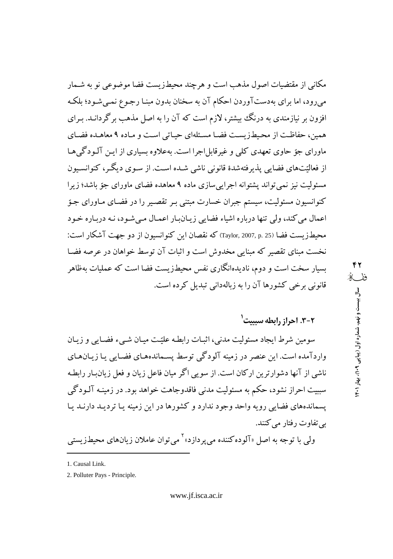مکانی از مقتضیات اصول مذهب است و هرچند محیطزیست فضا موضوعی نو به شـمار میرود، اما برای بهدستآوردن احکام آن به سخنان بدون مبنـا رجـوع نمـیشـود؛ بلکـه افزون بر نیازمندی به درنگ بیشتر، لازم است که آن را به اصل مذهب برگردانــد. بـرای همین، حفاظت از محیطزیست فضا مسئلهای حیاتی است و ماده ۹ معاهـده فضـای ماورای جوّ حاوی تعهدی کلی و غیرقابل اجرا است. بهعلاوه بسیاری از ایـن آلـودگی هـا از فعالیّتهای فضایی پذیرفتهشدهٔ قانونی ناشی شـده اسـت. از سـوی دیگـر، کنوانسـیون مسئولیت نیز نمیتواند پشتوانه اجرایی سازی ماده ۹ معاهده فضای ماورای جوّ باشد؛ زبرا کنوانسیون مسئولیت، سیستم جبران خسارت مبتنی بـر تقصـیر را در فضـای مـاورای جـوّ اعمال مي كند، ولي تنها درباره اشياء فضايي زيـانبـار اعمـال مـي شـود، نـه دربـاره خـود محيطـزيست فضا (25 .p. 2007, p. 25) كه نقصان اين كنوانسيون از دو جهت آشكار است: نخست مبنای تقصیر که مبنایی مخدوش است و اثبات آن توسط خواهان در عرصه فضبا بسیار سخت است و دوم، نادیدهانگاری نفس محیطزیست فضا است که عملیات بهظاهر قانونی برخی کشورها آن را به زبالهدانی تبدیل کرده است.

2-3. احراز رابطه بسببت '

سومین شرط ایجاد مسئولیت مدنی، اثبـات رابطـه علیّـت میـان شـیء فضـایی و زیـان واردآمده است. این عنصر در زمینه آلودگی توسط پسـماندههـای فضـابی پـا زیـانهـای ناشی از آنها دشوارترین ارکان است. از سویی اگر میان فاعل زیان و فعل زیان بار رابطه سببیت احراز نشود، حکم به مسئولیت مدنی فاقدوجاهت خواهد بود. در زمینـه آلـودگی یسماندههای فضایی رویه واحد وجود ندارد و کشورها در این زمینه یـا تردیـد دارنـد یـا یے تفاوت رفتار مے کنند.

ولي يا توجه به اصل «آلو ده كننده مي بر داز د»<sup>۲</sup> مي توان عاملان زيانهاي محيطز بستي

<sup>1.</sup> Causal Link.

<sup>2.</sup> Polluter Pays - Principle.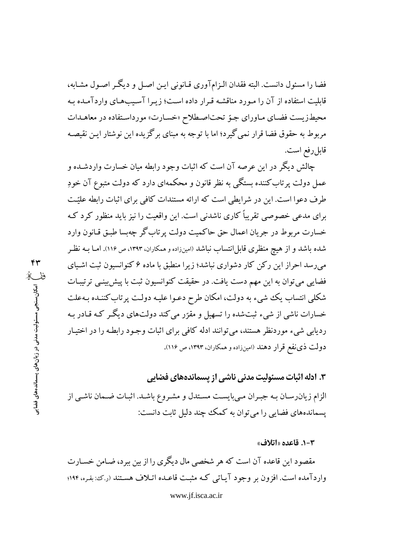فضا را مسئول دانست. البته فقدان الـزامآوری قـانونی ایـن اصـل و دیگـر اصـول مشـابه، قابلیت استفاده از آن را مـورد مناقشـه قـرار داده اسـت؛ زیـرا آسـیبهای واردآمـده بـه محیطزیست فضای ماورای جوّ تحت اصطلاح «خسارت» مورداستفاده در معاهدات مربوط به حقوق فضا قرار نمی گیرد؛ اما با توجه به مبنای بر گزیده این نوشتار ایـن نقیصـه قابل رفع است.

چالش دیگر در این عرصه آن است که اثبات وجود رابطه میان خسارت واردشـده و عمل دولت پرتاب کننده بستگی به نظر قانون و محکمهای دارد که دولت متبوع آن خودِ طرف دعوا است. این در شرایطی است که ارائه مستندات کافی برای اثبات رابطه علیّت برای مدعی خصوصی تقریباً کاری ناشدنی است. این واقعیت را نیز باید منظور کرد ک خسارت مربوط در جريان اعمال حق حاكميت دولت پر تاب گر چهبسا طبـق قـانون وارد شده باشد و از هیچ منظری قابل|نتساب نباشد (امینزاده و همکاران، ۱۳۹۳، ص ۱۱۶). امـا بـه نظـر می رسد احراز این رکن کار دشواری نباشد؛ زیرا منطبق با ماده ۶ کنوانسیون ثبت اشـیای فضایی می توان به این مهم دست یافت. در حقیقت کنوانسیون ثبت با پیش بینبی تر تیبـات شکلی انتساب یک شیء به دولت، امکان طرح دعـوا علیـه دولـت پرتاب کننـده بـهعلت خسارات ناشی از شیء ثبتشده را تسهیل و مقرّر میکند دولتهای دیگر کـه قـادر بـه ردیابی شیء موردنظر هستند، می توانند ادله کافی برای اثبات وجـود رابطـه را در اختیـار دولت ذي نفع قرار دهند (امينزاده و همكاران، ١٣٩٣، ص ١١٤).

### ۳. ادله اثبات مسئولیت مدنی ناشی از پسماندههای فضایی

الزام زیان رسـان بـه جبـران مـىبايسـت مسـتدل و مشـروع باشـد. اثبـات ضـمان ناشـى از یسماندههای فضایی را می توان به کمک چند دلیل ثابت دانست:

### ٠-٣. قاعده «اتلاف»

مقصود این قاعده آن است که هر شخصی مال دیگری را از بین ببرد، ضـامن خسـارت واردآمده است. افزون بر وجود آيـاتي كـه مثبـت قاعـده اتـلاف هسـتند (ربح: بقـره، ۱۹۴؛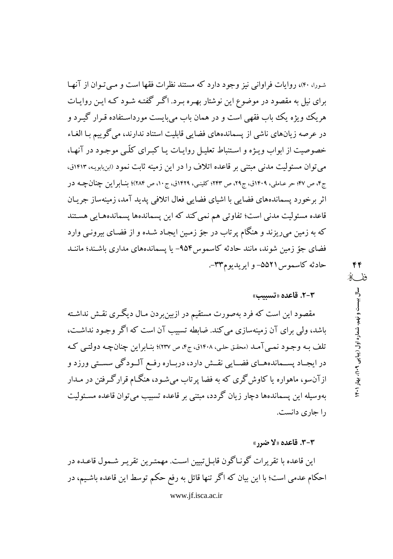شورا، ۴۰)، روایات فراوانی نیز وجود دارد که مستند نظرات فقها است و مبی تبوان از آنها برای نیل به مقصود در موضوع این نوشتار بهـره بـرد. اگـر گفتـه شـود کـه ایـن روایـات هریک ویژه یک باب فقهی است و در همان باب می بایست مورداسـتفاده قـرار گیـرد و در عرصه زیانهای ناشی از پسماندههای فضایی قابلیت استناد ندارند، می گوییم با الغـاء خصوصیت از ابواب ویـژه و اسـتنباط تعلیـل روایـات یـا کبـرای کلّـی موجـود در آنهـا، می توان مسئولیت مدنی مبتنی بر قاعده اتلاف را در این زمینه ثابت نمود (ابن بابویـه، ۱۴۱۳ق، ج۴، ص ۴۷؛ حر عـاملي، ۱۴۰۹ق، ج۲۹، ص ۲۴۳؛ کلینـي، ۱۴۲۹ق، ج۱۰، ص ۲۸۴)؛ بنـابراين چنانچـه در اثر برخورد يسماندههاي فضايبي با اشياى فضايبي فعال اتلافي يديد آمد، زمينهساز جريـان قاعده مسئولیت مدنی است؛ تفاوتی هم نمی کند که این پسماندهها پسماندههـایی هسـتند که به زمین میریزند و هنگام پرتاب در جوّ زمـین ایجـاد شـده و از فضـای بیرونـی وارد فضای جوّ زمین شوند، مانند حادثه کاسموس۱۵۴- یا پسماندههای مداری باشـند؛ ماننـد حادثه كاسموس ۵۵۲۱– و ايريديوم۳۳-.

### ٣-٢. قاعده «تسس»

مقصود این است که فرد بهصورت مستقیم در ازبینبردن مـال دیگـری نقـش نداشـته باشد، ولی برای آن زمینهسازی می کند. ضابطه تسبیب آن است که اگر وجـود نداشـت، تلف بـه وجـود نمـي آمـد (محقـق حلـي، ۱۴۰۸ق، ج۴، ص ۲۳۷)؛ بنـابراين چنانچـه دولتـي كـه در ايجــاد پســماندههــاي فضــايي نقــش دارد، دربــاره رفــع آلــودگي سســتي ورزد و ازآنسو، ماهواره یا کاوش گری که به فضا پرتاب میشود، هنگـام قرارگـرفتن در مـدار بهوسيله اين يسماندهها دچار زيان گردد، مبتني بر قاعده تسبيب مي توان قاعده مسـئوليت را جاری دانست.

### **3-3. قاعده «لا ضرر»**

این قاعده با تقریرات گونـاگون قابـل تبیین اسـت. مهمتـرین تقریـر شـمول قاعـده در احکام عدمی است؛ با این بیان که اگر تنها قائل به رفع حکم توسط این قاعده باشـیم، در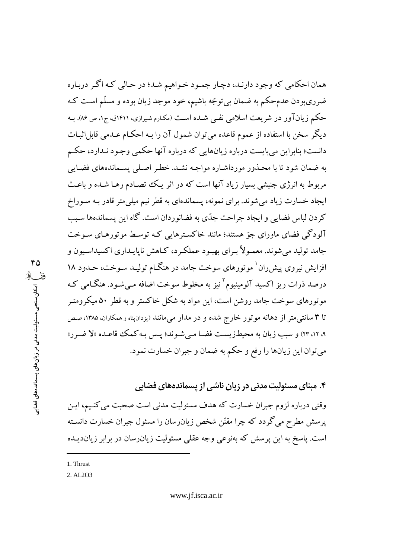همان احکامی که وجود دارنـد، دچـار جمـود خـواهيم شـد؛ در حـالي کـه اگـر دربـاره ضرریبودن عدمحکم به ضمان بیتوجّه باشیم، خود موجد زیان بوده و مسلّم است کـه حکم زیانآور در شریعت اسلامی نفـی شـده اسـت (مکـارم شـیرازی، ۱۴۱۱ق، ج۱، ص ۸۶). بـه دیگر سخن با استفاده از عموم قاعده میتوان شمول آن را بـه احکـام عـدمی قابل|ثبـات دانست؛ بنابراین می بایست درباره زیانهایی که درباره آنها حکمی وجـود نـدارد، حکـم به ضمان شود تا با محـذور مورداشـاره مواجـه نشـد. خطـر اصـلي پسـماندههاي فضـابي مربوط به انرژی جنبشی بسیار زیاد آنها است که در اثر یک تصادم رهـا شـده و باعـث ایجاد خسارت زیاد می شوند. برای نمونه، پسماندهای به قطر نیم میلی متر قادر بـه سـوراخ كردن لباس فضايي و ايجاد جراحت جدّي به فضانوردان است. گاه اين پسماندهها سـبب آلودگی فضای ماورای جوّ هستند؛ مانند خاکسترهایی کـه توسـط موتورهـای سـوخت جامد تولید می شوند. معمـولاً بـرای بهبـود عملکـرد، کـاهش ناپایـداری اکسیداسـیون و افزایش نیروی پیش ران ٰ موتورهای سوخت جامد در هنگـام تولیـد سـوخت، حـدود ۱۸ درصد ذرات ریز اکسید آلومینیوم<sup>۲</sup>نیز به مخلوط سوخت اضافه مبی شـود. هنگـامی کـه موتورهای سوخت جامد روشن است، این مواد به شکل خاکستر و به قطر ۵۰ میکرومتـر تا ۳ سانتی متر از دهانه موتور خارج شده و در مدار میمانند (بزدانپناه و همکاران، ۱۳۸۵، صص ۹، ۱۲، ۲۳) و سبب زيان به محيطزيست فضـا مـي شـوند؛ پـس بـه كمك قاعـده «لا ضـر ر» مي توان اين زيانها را رفع و حكم به ضمان و جبران خسارت نمود.

۴. مبنای مسئولیت مدنی در زیان ناشی از پسماندههای فضایی

وقتی درباره لزوم جبران خسارت که هدف مسئولیت مدنی است صحبت می کنـیم، ایـن یر سش مطرح می گردد که چرا مقنّن شخص زیان(سان را مسئول جبران خسارت دانسـته است. پاسخ به این پرسش که بهنوعی وجه عقلبی مسئولیت زیان(سان در برابر زیاندیـده

1. Thrust

2. AL2O3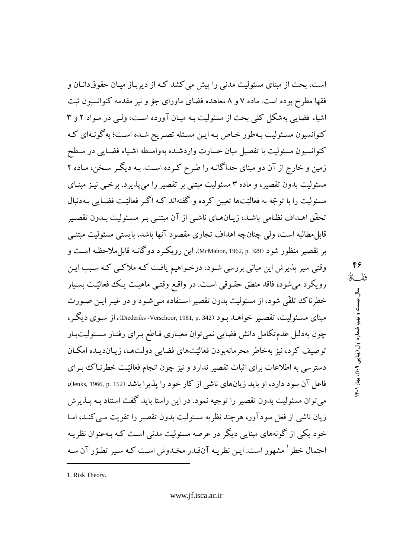است، بحث از مبنای مسئولیت مدنی را پیش می کشد کـه از دیربـاز میـان حقوق۱دنـان و فقها مطرح بوده است. ماده ۷ و ۸ معاهده فضای ماورای جوّ و نیز مقدمه کنوانسیون ثبت اشیاء فضایی بهشکل کلی بحث از مسئولیت بـه میـان آورده اسـت، ولـی در مـواد ۲ و ۳ کنوانسیون مسئولیت بـهطور خـاص بـه ایـن مسـئله تصـریح شـده اسـت؛ به گونـهای کـه كنوانسيون مسئوليت با تفصيل ميان خسارت واردشـده بهواسـطه اشـياء فضـايبي در سـطح زمین و خارج از آن دو مبنای جداگانـه را طـرح کـرده اسـت. بـه دیگـر سـخن، مـاده ۲ مسئولیت بدون تقصیر، و ماده ۳ مسئولیت مبتنی بر تقصیر را می پذیرد. برخبی نیـز مبنـای مسئولیت را با توجّه به فعالیّتها تعیین کرده و گفتهاند کـه اگـر فعالیّـت فضـابی بـهدنبال تحقُّق اهـداف نظـامي باشـد، زيـانهـاي ناشـي از آن مبتنـي بـر مسـئوليت بـدون تقصـير قابل مطالبه است، ولي چنانچه اهداف تجاري مقصود آنها باشد، بايستي مسئوليت مبتنـي بر تقصیر منظور شود (McMahon, 1962, p. 329). این رویک ود دوگانـه قابل ملاحظـه اسـت و وقتی سیر پذیرش این مبانی بررسی شـود، درخـواهیم یافـت کـه ملاکـی کـه سـبب ایـن رویکرد میشود، فاقد منطق حقـوقی اسـت. در واقـع وقتـی ماهیـت یـک فعالیّـت بسـیار خطرناک تلقّی شود، از مسئولیت بدون تقصیر استفاده میشود و در غیـر ایـن صـورت مبنای مسئولیت، تقصیر خواهــد بـود (Diederiks -Verschoor, 1981, p. 342). از سـوی دیگـر ، چون بهدلیل عدم تکامل دانش فضایی نمی توان معیـاری قـاطع بـرای رفتـار مسـئولیتبـار توصيف كرد، نيز بهخاط محرمانهبودن فعاليّتهاي فضايي دولتها، زيبانديـده امكـان دسترسی به اطلاعات برای اثبات تقصیر ندارد و نیز چون انجام فعالیّت خطرنـاک بـرای فاعل آن سود دارد، او باید زیانهای ناشی از کار خود را پذیرا باشد (Jenks, 1966, p. 152)، میتوان مسئولیت بدون تقصیر را توجیه نمود. در این راستا باید گفت استناد بـه پــذیرش زیان ناشی از فعل سودآور، هرچند نظریه مسئولیت بدون تقصیر را تقویت مبی کنـد، امـا خود یکی از گونههای مبنایی دیگر در عرصه مسئولیت مدنی است کـه بـهعنوان نظریـه احتمال خطر ` مشهور است. ایـن نظریـه آنقـدر مخـدوش اسـت کـه سـیر تطـوّر آن سـه

۴۶ ففسكا سال بیست و نهم، شماره اول (پیاپی ۱۴۰۹)، بهار ۱۴۰۱

1. Risk Theory.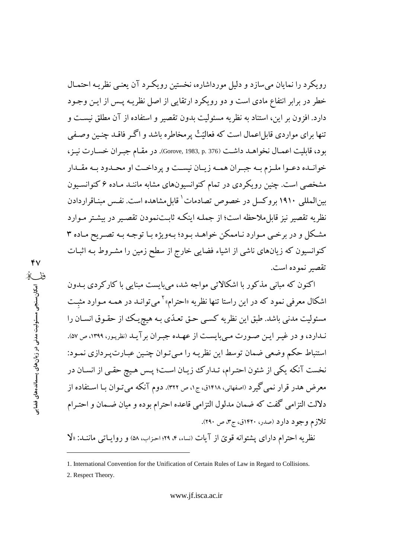رویکرد را نمایان میسازد و دلیل مورداشاره، نخستین رویکرد آن یعنبی نظریـه احتمـال خطر در برابر انتفاع مادی است و دو رویکرد ارتقایی از اصل نظریـه پـس از ایـن وجـود دارد. افزون بر این، استناد به نظریه مسئولیت بدون تقصیر و استفاده از آن مطلق نیست و تنها برای مواردی قابل اعمال است که فعالیّتْ پرمخاطره باشد و اگـر فاقـد چنـین وصـفی بود، قابليت اعمـال نخواهـد داشـت (Gorove, 1983, p. 376). در مقـام جبـران خسـارت نيـز، خوانیده دعبوا ملیزم بیه جبیران همیه زیبان نیست و پرداخت او محیدود بیه مقیدار مشخصی است. چنین رویکردی در تمام کنوانسیونهای مشابه ماننـد مـاده ۶ کنوانسـیون بین المللی ۱۹۱۰ بروکسل در خصوص تصادمات <sup>۱</sup> قابل مشاهده است. نفس مینـاقراردادن نظریه تقصیر نیز قابل ملاحظه است؛ از جملـه اینکـه ثابـتنمودن تقصـیر در بیشـتر مـوارد مشکل و در برخی موارد نـاممکن خواهـد بـود؛ بـهویژه بـا توجـه بـه تصـریح مـاده ۳ کنوانسیون که زیانهای ناشی از اشیاء فضایی خارج از سطح زمین را مشـروط بـه اثبـات تقصير نموده است.

اکنون که مبانی مذکور با اشکالاتی مواجه شد، می بایست مبنایی با کارکردی بـدون اشکال معرفی نمود که در این راستا تنها نظریه «احترام»<sup>۲</sup> میتوانـد در همـه مـوارد مثبـت مسئوليت مدني باشد. طبق اين نظريه كسبي حـق تعـدّي بـه هيچريـك از حقـوق انســان را نـدارد، و در غيـر ايـن صـورت مـي بايسـت از عهـده جبـران بر آيـد (نظريـور، ١٣٩٩، ص ٥٧). استنباط حکم وضعی ضمان توسط این نظریـه را مـیتـوان چنـین عبـارت پـردازی نمـود: نخست آنکه یکی از شئون احتـرام، تـدارک زیـان اسـت؛ پـس هـیچ حقـی از انسـان در معرض هدر قرار نمي گيرد (اصفهاني، ۱۴۱۸ق، ج۱، ص ۳۲۲). دوم آنكه مي تـوان بـا اسـتفاده از دلالت التزامي گفت كه ضمان مدلول التزامي قاعده احترام بوده و ميان ضـمان و احتـرام تلازم وجود دارد (صدر، ۱۴۲۰ق، ج۳، ص ۲۹۰). نظریه احترام دارای پشتوانه قویّ از آیات (نساء، ۴، ۲۹؛ احزاب، ۵۸) و روایـاتبی ماننــد: «لَا

<sup>1.</sup> International Convention for the Unification of Certain Rules of Law in Regard to Collisions.

<sup>2.</sup> Respect Theory.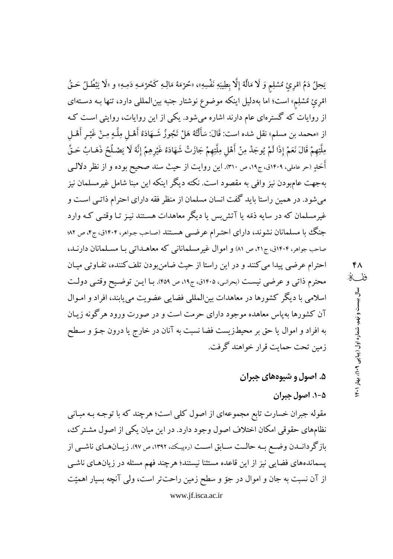يَحِلُ دَمُ امْرِئِ مُسْلِمٍ وَ لَا مَالُهُ إِلَّا بِطِيبَهِ نَفْسِهِ»، «حُرْمَهُ مَالِـهِ كَحُرْمَـهِ دَمِـهِ» و «لَا يَبْطُـلُ حَـقُ اهرئ مُشلِم» است؛ اما بهدلیل اینکه موضوع نوشتار جنبه بینالمللی دارد، تنها بـه دسـتهای از روایات که گسترهای عام دارند اشاره میشود. یکی از این روایات، روایتی است که از «محمد بن مسلم» نقل شده است: قَالَ: سَأَلْتُهُ هَلْ تَجُوزُ شَـهَادَهُ أَهْـلٍ مِلَّـهٍ مِـنْ غَيْـر أَهْـلِ مِلَّتِهِمْ قَالَ نَعَمْ إِذَا لَمْ يُوجَدْ مِنْ أَهْلِ مِلَّتِهِمْ جَازَتْ شَهَادَهُ غَيْرِهِمْ إِنَّهُ لَا يَصْـلُحُ ذَهَـابُ حَـقِّ أُخَلٍ (حر عاملي، ۱۴۰۹ق، ج۱۹، ص ۳۱۰). اين روايت از حيث سند صحيح بوده و از نظر دلالــي بهجهت عامبودن نیز وافی به مقصود است. نکته دیگر اینکه این مبنا شامل غیرمسلمان نیز میشود. در همین راستا باید گفت انسان مسلمان از منظر فقه دارای احترام ذاتـی اسـت و غیرمسلمان که در سایه ذمّه یا آتش بس یا دیگر معاهدات هستند نیـز تـا وقتـی کـه وارد جنگ با مسلمانان نشوند، دارای احتـرام عرضــی هسـتند (صـاحب جـواهر، ۱۴۰۴ق، ج۴، ص ۸۲؛ صاحب جواهر، ۱۴۰۴ق، ج۲۱، ص ۸۱) و اموال غیر مسلمانانی که معاهـداتی بـا مسـلمانان دارنـد، احترام عرضی پیدا می کنند و در این راستا از حیث ضامنبودن تلف کننده، تفـاوتی میـان محترم ذاتی و عرضی نیست (بحرانی، ۱۴۰۵ق، ج۱۹، ص ۴۵۹). بـا ایـن توضـیح وقتـی دولـت اسلامی با دیگر کشورها در معاهدات بین|لمللی فضایی عضویت می پابند، افراد و امـوال آن کشورها بهپاس معاهده موجود دارای حرمت است و در صورت ورود هرگونه زیـان به افراد و اموال یا حق بر محیطزیست فضا نسبت به آنان در خارج یا درون جـوّ و سـطح زمين تحت حمايت قرار خواهند گرفت.

# ۵. اصول و شیوههای جبران

# ۰۵-۸ اصول جبران

مقوله جبران خسارت تابع مجموعهای از اصول کلی است؛ هرچند که با توجـه بـه مبـانی نظامهای حقوقی امکان اختلاف اصول وجود دارد. در این میان یکی از اصول مشترک، باز گر دانـدن وضـع بـه حالـت سـابق اسـت (رهیـک، ۱۳۹۲، ص ۹۷). زیـانهـای ناشـی از یسماندههای فضایی نیز از این قاعده مستثنا نیستند؛ هرچند فهم مسئله در زیانهای ناشبی از آن نسبت به جان و اموال در جوّ و سطح زمین راحتتر است، ولی آنچه بسیار اهمیّت www.jf.isca.ac.ir

۴۸ ففگ سال بیست و نهم، شماره اول (پیاپی ۱۴۰۹)، بهار ۱۴۰۱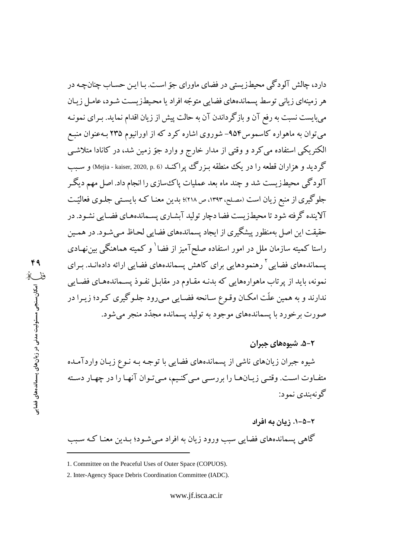دارد، چالش آلودگی محیطزیستی در فضای ماورای جوّ است. بـا ایـن حسـاب چنانچـه در هر زمینهای زیانی توسط پسماندههای فضایی متوجّه افراد یا محیطزیست شـود، عامـل زیـان میبایست نسبت به رفع آن و بازگرداندن آن به حالت پیش از زیان اقدام نماید. بـرای نمونـه می توان به ماهواره کاسموس۹۵۴– شوروی اشاره کرد که از اورانیوم ۲۳۵ بـهعنوان منبـع الکتریکی استفاده می کرد و وقتی از مدار خارج و وارد جوّ زمین شد، در کانادا متلاشـی گردید و هزاران قطعه را در یک منطقه بـزرگ پراکنـد (Mejia - kaiser, 2020, p. 6) و سـبب آلودگی محیطزیست شد و چند ماه بعد عملیات پاک سازی را انجام داد. اصل مهم دیگر جلوگیری از منبع زیان است (مصلح، ۱۳۹۳، ص ۲۱۸)؛ بدین معنـا کـه بایسـتـی جلـوی فعالیّـت آلاینده گرفته شود تا محیطزیست فضا دچار تولید آبشـاری پسـماندههـای فضـایی نشـود. در حقیقت این اصل بهمنظور پیشگیری از ایجاد پسماندههای فضایی لحـاظ مـی شـود. در همـین راستا کمیته سازمان ملل در امور استفاده صلحآمیز از فضا<sup>۱</sup> و کمیته هماهنگی بینiهـادی یسماندههای فضایی <sup>۲</sup> رهنمودهایی برای کاهش یسماندههای فضایی ارائه دادهانـد. بـرای نمونه، باید از پرتاب ماهوارههایی که بدنـه مقـاوم در مقابـل نفـوذ پسـماندههـای فضـایی ندارند و به همین علّت امکـان وقـوع سـانحه فضـایی مـی(ود جلـوگیری کـرد؛ زیـرا در صورت برخورد با پسماندههای موجود به تولید پسمانده مجدّد منجر می شود.

### ۸–۵. شیوههای جبران

شیوه جبران زیانهای ناشی از پسماندههای فضایی با توجه بـه نـوع زیـان واردآمـده متفـاوت اسـت. وقتـي زيـانهـا را بررسـي مـي كنـيم، مـيتوان آنهـا را در چهـار دسـته گونهيندي نمود:

۲–۵–۰. زیان به افراد گاهی پسماندههای فضایی سبب ورود زیان به افراد مـیشـود؛ بـدین معنـا کـه سـبب

<sup>1.</sup> Committee on the Peaceful Uses of Outer Space (COPUOS).

<sup>2.</sup> Inter-Agency Space Debris Coordination Committee (IADC).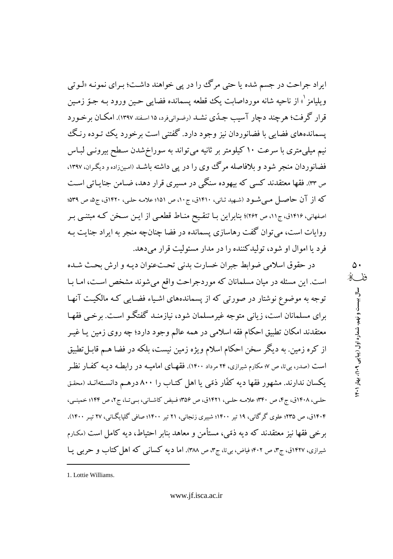ايراد جراحت در جسم شده يا حتى مرگ را در يي خواهند داشت؛ بـراي نمونـه «لـوتي وبلبامز <sup>۱</sup>» از ناحیه شانه مورداصابت یک قطعه پسمانده فضایبی حـین ورود بـه جـوّ زمـین قرار گرفت؛ هر چند دچار آسیب جبدّی نشـد (رضوانیفرد، ۱۵ اسفند ۱۳۹۷). امکـان بر خـو ر د یسماندههای فضابی با فضانوردان نیز وجود دارد. گفتنی است برخورد یک توده رنگ نیم میلم ٍمتری با سرعت ۱۰ کیلومتر بر ثانیه می تواند به سوراخ شدن سـطح بیرونـی لبـاس فضانوردان منجر شود و بلافاصله مرگ وی را در یی داشته باشـد (امـینزاده و دیگـران، ۱۳۹۷. ص ٣٣. فقها معتقدند کسی که بیهوده سنگی در مسیری قرار دهد، ضـامن جنایـاتی اسـت که از آن حاصـل مـی شـود (شـهید ثـانی، ۱۴۱۰ق، ج۱۰، ص ۱۵۱؛ علامـه حلـی، ۱۴۲۰ق، ج۵، ص ۵۳۹؛ اصفهانی، ۱۴۱۶ق، ج۱۱، ص ۲۶۲)؛ بنابراین بـا تنقـیح منـاط قطعـی از ایــن ســخن کـه مبتنـی بـر روایات است، می توان گفت رهاسازی پسمانده در فضا چنانچه منجر به ایراد جنایت بـه فرد یا اموال او شود، تولیدکننده را در مدار مسئولیت قرار میدهد.

در حقوق اسلامی ضوابط جبران خسارت بدنی تحتعنوان دیـه و ارش بحـث شـده است. این مسئله در میان مسلمانان که موردجراحت واقع می شوند مشخص است، امـا بـا توجه به موضوع نوشتار در صورتی که از پسماندههای اشـیاء فضـایی کـه مالکیـت آنهـا برای مسلمانان است، زیانی متوجه غیرمسلمان شود، نیازمنـد گفتگـو اسـت. برخـی فقهـا معتقدند امکان تطبیق احکام فقه اسلامی در همه عالم وجود دارد؛ چه روی زمین یـا غیـر از کره زمین. به دیگر سخن احکام اسلام ویژه زمین نیست، بلکه در فضا هـم قابـل تطبیق است (صدر، بی تا، ص ۷؛ مکارم شیرازی، ۲۴ مرداد ۱۴۰۰). فقهـای امامیـه در رابطـه دیـه کفـار نظـر یکسان ندارند. مشهور فقها دیه کفّار ذمّی یا اهل کتـاب را ۸۰۰ درهـم دانسـتهانـد (محقق حلبي، ۱۴۰۸ق، ج۴، ص ۳۴۰؛ علامـه حلبي، ۱۴۲۱ق، ص ۳۵۶؛ فـيض كاشـاني، بـيتـا، ج۲، ص ۱۴۴؛ خمينـي، ۱۴۰۴ق، ص ۲۳۵؛ علوی گرگانی، ۱۹ تیر ۱۴۰۰؛ شبیری زنجانی، ۲۱ تیر ۱۴۰۰؛ صافی گلپایگـانی، ۲۷ تیـر ۱۴۰۰). برخي فقها نيز معتقدند كه ديه ذمّي، مستأمن و معاهد بنابر احتياط، ديه كامل است (مكـارم شیرازی، ۱۴۲۷ق، ج۳، ص ۴۰۲؛ فیاض، بیتا، ج۳، ص ۳۸۸). اما دیه کسانی که اهل کتاب و حربی یـا

۵۰ ففگ سال بیست و نهم، شماره اول (پیاپی ۱۴۰۹)، بهار ۱۴۰۱

1. Lottie Williams.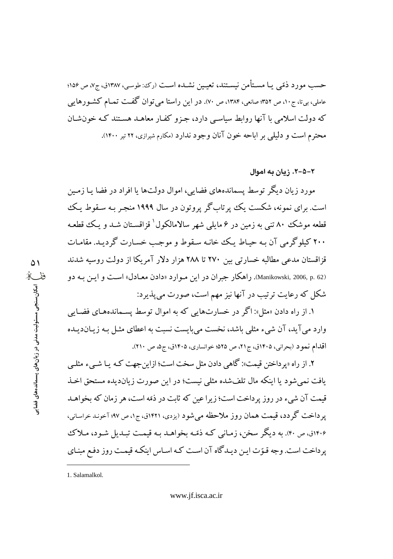حسب مورد ذمّی یـا مسـتأمن نیسـتند، تعیـین نشـده اسـت (رک: طوسی، ۱۳۸۷ق، ج۷، ص ۱۵۶؛ عاملی، بیتا، ج۱۰، ص ۳۵۲؛ صانعی، ۱۳۸۴، ص ۷۰). در این راستا می توان گفت تمـام کشـورهایی که دولت اسلامی با آنها روابط سیاسی دارد، جـزو کفـار معاهـد هسـتند کـه خون شـان محترم است و دلیلی بر اباحه خون آنان وجود ندارد (مکارم شیرازی، ۲۲ تیر ۱۴۰۰).

### ۲–۵–۲. زیان به اموال

مورد زیان دیگر توسط پسماندههای فضایی، اموال دولتها یا افراد در فضا یـا زمـین است. برای نمونه، شکست یک پر تابگر پروتون در سال ۱۹۹۹ منجـر بـه سـقوط یـک قطعه موشک ۸۰ تنبی به زمین در ۶ مایلمی شهر سالامالکول ٰ قزاقسـتان شـد و یـک قطعـه ۲۰۰ کیلوگرمی آن بـه حیـاط یـک خانـه سـقوط و موجـب خسـارت گردیـد. مقامـات قزاقستان مدعی مطالبه خسارتی بین ۲۷۰ تا ۲۸۸ هزار دلار آمریکا از دولت روسیه شدند Manikowski, 2006, p. 62). راهکار جبران در این مـوارد «دادن معـادل» اسـت و ایـن بـه دو شکل که رعایت ترتیب در آنها نیز مهم است، صورت می پذیرد:

۱. از راه دادن «مثل»: اگر در خسارتهایی که به اموال توسط پسـماندههـای فضـایی وارد می آید، آن شیء مثلی باشد، نخست میبایست نسبت به اعطای مثـل بـه زیـاندیـده اقدام نمود (بحراني، ۱۴۰۵ق، ج۲۱، ص ۵۲۵؛ خوانساري، ۱۴۰۵ق، ج۵، ص ۲۱۰).

۲. از راه «پر داختن قیمت»: گاهی دادن مثل سخت است؛ ازاین جهت کـه یـا شـیء مثلـی یافت نمی شود یا اینکه مال تلف شده مثلی نیست؛ در این صورت زیاندیده مستحق اخـذ قیمت آن شیء در روز پرداخت است؛ زیرا عین که ثابت در ذمّه است، هر زمان که بخواهـد یر داخت گر دد، قیمت همان روز ملاحظه می شود (پزدی، ۱۴۲۱ق، ج۱، ص ۹۷؛ آخونـد خراسـانی، ۱۴۰۶ق، ص۴۰). به دیگر سخن، زمانی کـه ذمّـه بخواهـد بـه قیمـت تبـدیل شـود، مـلاک یر داخت است. وجه قـوّت ایـن دیـدگاه آن اسـت کـه اسـاس اینکـه قیمـت روز دفـع مبنـاي

1. Salamalkol.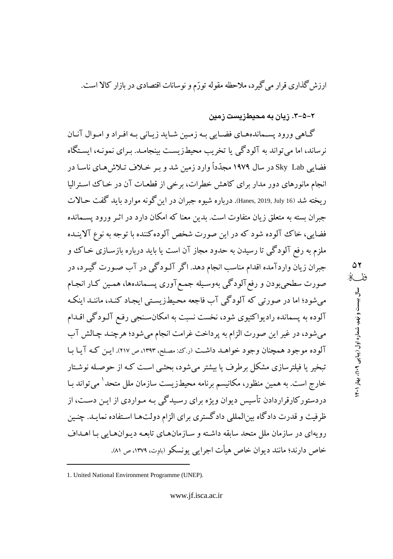ارزش گذاری قرار می گیرد، ملاحظه مقوله تورّم و نوسانات اقتصادی در بازار کالا است.

۲–۵–۳. زیان به محیطزیست زمین

۵۲ ففگ

سال بیست و نهم، شماره اول (پیاپی ۹۰۹)، بهار ۱۴۰۱

گــاهي ورود پســماندههــاي فضــايي بــه زمـين شــايد زيــاني بــه افــراد و امــوال آنــان نرساند، اما می تواند به آلودگی یا تخریب محیطزیست بینجامـد. بـرای نمونـه، ایسـتگاه فضایی Sky Lab در سال ۱۹۷۹ مجدّداً وارد زمین شد و بـر خـلاف تـلاش۵هـای ناسـا در انجام مانورهای دور مدار برای کاهش خطرات، برخی از قطعـات آن در خـاک اسـترالیا ريخته شد (Hanes, 2019, July 16. درباره شيوه جبران در اين گونه موارد بايد گفت حـالات جبران بسته به متعلق زیان متفاوت است. بدین معنا که امکان دارد در اثـر ورود یســمانده فضایی، خاک آلوده شود که در این صورت شخص آلوده کننده با توجه به نوع آلاینـده ملزم به رفع آلودگي تا رسيدن به حدود مجاز آن است يا بايد درباره بازسـازي خـاک و جبران زيان واردآمده اقدام مناسب انجام دهد. اگر آلـودگي در آب صـورت گيـرد، در صورت سطحی بودن و رفع آلودگی بهوسـیله جمـع آوری یسـماندهها، همـین کـار انجـام می شود؛ اما در صورتی که آلودگی آب فاجعه محیطزیستی ایجاد کنـد، ماننـد اینکـه آلوده به پسمانده رادیواکتیوی شود، نخست نسبت به امکانسـنجی رفـع آلـودگی اقـدام میشود، در غیر این صورت الزام به پرداخت غرامت انجام میشود؛ هرچنـد چـالش آب آلوده موجود همچنان وجود خواهـد داشـت (رك: مصلح، ١٣٩٣، ص ٢١٧). ايـن كـه آيـا بـا تبخیر یا فیلترسازی مشکل برطرف یا بیشتر می شود، بحثبی است کـه از حوصـله نوشـتار خارج است. به همین منظور، مکانیسم برنامه محیطزیست سازمان ملل متحد<sup>\</sup> می¤تواند بـا دردستورکارقراردادن تأسیس دیوان ویژه برای رسـیدگی بـه مـواردی از ایـن دسـت، از ظرفیت و قدرت دادگاه بینالمللی دادگستری برای الزام دولتها استفاده نمایـد. چنـین رويهاي در سازمان ملل متحد سابقه داشته و سـازمانهـاي تابعـه ديـوانهـايي بـا اهـداف خاص دارند؛ مانند دیوان خاص هیأت اجرایی پونسکو (باوت، ۱۳۷۹، ص ۸۱).

<sup>1.</sup> United National Environment Programme (UNEP).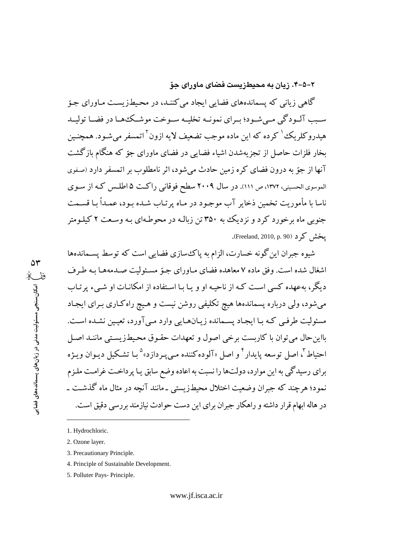۲-۵-۴. زیان به محیطزیست فضای ماورای حوّ

گاهی زبانی که پسماندههای فضایی ایجاد می کننـد، در محـیطـزیسـت مـاورای جـوّ سـبب آلــودگي مــي شــود؛ بــراي نمونــه تخليــه ســوخت موشــكـهــا در فضــا توليــد هیدروکلریک کرده که این ماده موجب تضعیف لایه ازون آتمسفر می شـود. همچنـین بخار فلزات حاصل از تجزیهشدن اشیاء فضایی در فضای ماورای جوّ که هنگام بازگشت آنها از جوّ به درون فضای کره زمین حادث می شود، اثر نامطلوب بر اتمسفر دارد (صفوی الموسوى الحسيني، ١٣٧٢، ص ١١١). در سال ٢٠٠٩ سطح فوقاني راكت ۵ اطلـس كـه از سـوى ناسا با مأموريت تخمين ذخاير آب موجـود در مـاه پرتـاب شـده بـود، عمـداً بـا قســمت جنوبی ماه برخورد کرد و نزدیک به ۳۵۰ تن زبالـه در محوطـهای بـه وسـعت ۲ کیلـومتر يخش كر د (Freeland, 2010, p. 90).

شیوه جبران این گونه خسارت، الزام به پاک سازی فضایی است که توسط پسـماندهها اشغال شده است. وفق ماده ۷ معاهده فضای مـاورای جـوّ مسـئولیت صـدمههـا بـه طـرف دیگر، بهعهده کسی است کـه از ناحیـه او و یـا بـا اسـتفاده از امکانـات او شــیء پرتـاب می شود، ولی درباره پسماندهها هیچ تکلیفی روشن نیست و هـیچ راه کـاری بـرای ایجـاد مسئولیت طرفبی کـه بـا ایجـاد پسـمانده زیـانهـایی وارد مـی آورد، تعیـین نشـده اسـت. بااین حال می توان با کاربست برخی اصول و تعهدات حقـوق محـیطـزیسـتی ماننـد اصـل احتياط ؓ، اصل توسعه پايدار ؓ و اصل «آلودهکننده مـي پـردازد» ٛ بـا تشـکيل ديـوان ويـژه برای رسیدگی به این موارد، دولتها را نسبت به اعاده وضع سابق یـا پرداخـت غرامـت ملـزم نمود؛ هرچند که جبران وضعیت اختلال محیطزیستی ـ مانند آنچه در مثال ماه گذشت ـ در هاله ابهام قرار داشته و راهکار جبران برای این دست حوادث نیازمند بررسی دقیق است.

- 3. Precautionary Principle.
- 4. Principle of Sustainable Development.
- 5. Polluter Pays- Principle.

<sup>1.</sup> Hydrochloric.

<sup>2.</sup> Ozone layer.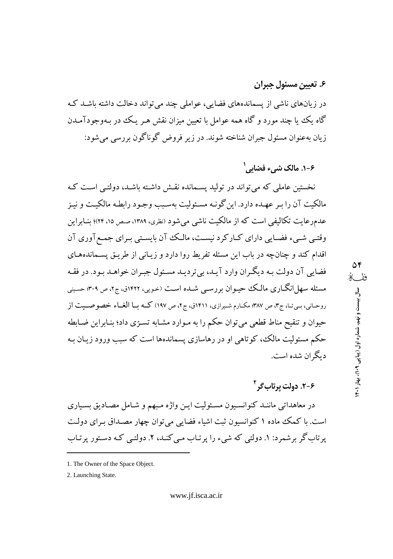### ۶. تعیین مسئول جبران

در زبانهای ناشی از پسماندههای فضابی، عواملی چند می تواند دخالت داشته باشـد کـه گاه یک یا چند مورد و گاه همه عوامل با تعیین میزان نقش هـر یـک در بـهوجودآمـدن زيان بهعنوان مسئول جبران شناخته شوند. در زير فروض گوناگون بررسي مي شود:

### ۶-۱. مالک شيء فضايي<sup>'</sup>

نخستین عاملی که می تواند در تولید پسـمانده نقـش داشـته باشـد، دولتـی اسـت کـه مالکیت آن را بر عهـده دارد. این گونـه مسـئولیت بهسـبب وجـود رابطـه مالکیـت و نیـز عدمرعایت تکالیفی است که از مالکیت ناشی می شود (نظری، ۱۳۸۹، صص ۱۵، ۲۴)؛ بنـابراین وقتبی شبیء فضایی دارای کبارکرد نیست، مالک آن بایستی بـرای جمـع آوری آن اقدام کند و چنانچه در باب این مسئله تفریط روا دارد و زیـانی از طریـق پسـماندههـای فضایی آن دولت بـه دیگـران وارد آیـد، بیتردیـد مسـئول جبـران خواهـد بـود. در فقـه مسئله سهل|نگــاري مالــک حيــوان بررســي شــده اســت (خـويي، ١۴۲۲ق، ج٢، ص ٣٠٩؛ حسيني روحاني، بي تـا، ج٣، ص ٣٨٧؛ مكـارم شـيرازي، ١٤١١ق، ج٢، ص ١٩٧) كــه بــا الغــاء خصوصــيت از حیوان و تنقیح مناط قطعی می توان حکم را به مـوارد مشـابه تسـرّی داد؛ بنـابراین ضـابطه حکم مسئولیت مالک، کوتاهی او در رهاسازی پسماندهها است که سبب ورود زیـان بـه دبگران شده است.

۶-۲. دولت پرتا*ب گ*ر<sup>۲</sup>

۵۴

فذ للد

سال بیست و نهم، شماره اول (پیاپی ۱۴۰۹)، بهار ۱۴۰۱

در معاهداتی ماننـد کنوانسـیون مسـئولیت ایـن واژه مـبهم و شـامل مصـادیق بسـیاری است. با کمک ماده ۱ کنوانسیون ثبت اشیاء فضایی می توان چهار مصـداق بـرای دولـت یر تاب گر بر شمرد: ۱. دولتی که شیء را پر تـاب مـی کنـد، ۲. دولتـی کـه دسـتور پر تـاب

<sup>1.</sup> The Owner of the Space Object.

<sup>2.</sup> Launching State.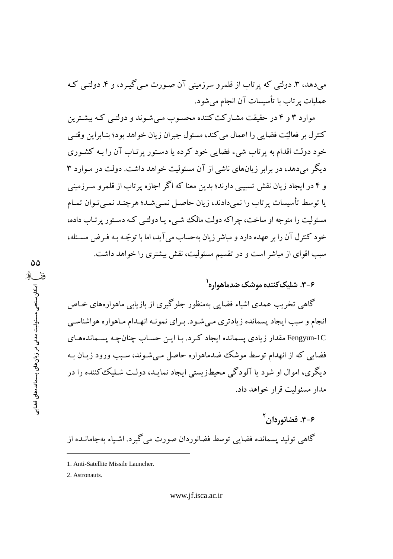میدهد، ۳. دولتی که پرتاب از قلمرو سرزمینی آن صورت مے گیرد، و ۴. دولتے که عملیات پر تاب با تأسیسات آن انجام می شو د.

موارد ۳ و ۴ در حقیقت مشـارکتکننده محسـوب مـی شـوند و دولتـی کـه بیشـترین كنترل بر فعاليّت فضايبي را اعمال مي كند، مسئول جبران زيان خواهد بود؛ بنـابراين وقتـي خود دولت اقدام به پر تاب شيء فضايي خود كرده يا دستور پر تـاب آن را بـه كشـوري دیگر می دهد، در برابر زبانهای ناشی از آن مسئولیت خواهد داشت. دولت در میوارد ۳ و ۴ در ایجاد زیان نقش تسبیبی دارند؛ بدین معنا که اگر اجازه پر تاب از قلمرو سـرزمینی یا توسط تأسیسات پرتاب را نمیدادند، زیان حاصل نمـیشـد؛ هرچنـد نمـی تـوان تمـام مسئولیت را متوجه او ساخت، جراکه دولت مالک شبیء یا دولتبی کـه دسـتور پر تـاب داده، خود كنترل آن را بر عهده دارد و مباشر زيان بهحساب مي آيد، اما با توجّه بـه فـرض مسـئله، سبب اقوای از مباشر است و در تقسیم مسئولیت، نقش بیشتری را خواهد داشت.

## ۶–۳. شلیک *کنند*ه موشک ضدماهواره<sup>۱</sup>

گاهی تخریب عمدی اشیاء فضایی بهمنظور جلوگیری از بازیابی ماهوارههای خـاص انجام و سبب ایجاد پسمانده زیادتری مے شـود. بـرای نمونـه انهـدام مـاهواره هواشناسـی Fengyun-1C مقدار زیادی پسمانده ایجاد کرد. بـا ایـن حسـاب چنانچـه پســماندههـای فضایی که از انهدام توسط موشک ضدماهواره حاصل مبی شـوند، سـبب ورود زیـان بـه دیگری، اموال او شود یا آلودگی محیطزیستی ایجاد نمایـد، دولـت شـلیک کننده را در مدار مسئولت قرار خواهد داد.

۶-۴. فضانوردان<sup>۲</sup> گاهي توليد پسمانده فضايي توسط فضانوردان صورت مي گيرد. اشـياء بهجامانــده از

2. Astronauts.

<sup>1.</sup> Anti-Satellite Missile Launcher.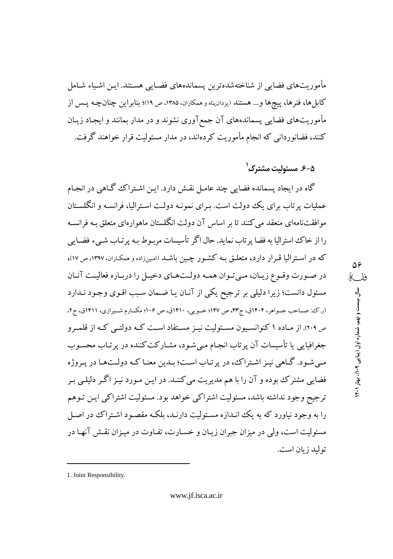مأموریتهای فضایی از شناختهشدهترین پسماندههای فضـایی هسـتند. ایـن اشـیاء شـامل کابلها، فنرها، پیچها و... هستند (یزدان(ناه و همکاران، ۱۳۸۵، ص ۱۹)؛ بنابر این چنان چـه یــس از مأموریتهای فضایی پسماندههای آن جمع آوری نشوند و در مدار بمانند و ایجـاد زیـان کنند، فضانوردانی که انجام مأموریت کردهاند، در مدار مسئولیت قرار خواهند گرفت.

## ۵–۶. مسئولیت مشترک<sup>۱</sup>

گاه در ایجاد پسمانده فضایی چند عامل نقش دارد. این اشتراک گاهی در انجام عملیات پر تاب برای یک دولت است. بـرای نمونـه دولـت اسـترالیا، فرانسـه و انگلسـتان موافقتنامهای منعقد می کنند تا بر اساس آن دولت انگلستان ماهوارهای متعلق سه فرانسـه را از خاک استرالیا به فضا پر تاب نماید. حال اگر تأسیسات مربـوط بـه پر تـاب شـيء فضـايي که در استرالیا قرار دارد، متعلق بـه کشـور چـین باشـد (امینزاده و همکـاران، ۱۳۹۷، ص ۱۷)، در صورت وقـوع زيـان، مـي تـوان همـه دولـتهـاي دخيـل را دربـاره فعاليـت آنـان مسئول دانست؛ زیرا دلیلی بر ترجیح یکی از آنـان یـا ضـمان سـبب اقـوی وجـود نـدارد (ر.ک؛ صباحب جسواهر، ۱۴۰۴ق، ج۴۳، ص ۱۴۷؛ خسویی، ۱۴۱۰ق، ص ۱۰۶؛ مکسارم شسپرازی، ۱۴۱۱ق، ج۲، ص ٢٠٩). از مـاده ١ كنوانسـيون مسـئوليت نيـز مسـتفاد اسـت كـه دولتـي كـه از قلمـرو جغرافیایی یا تأسیسات آن پرتاب انجـام مـیشـود، مشـارکت کننده در پرتـاب محسـوب مبي شـود. گـاهي نيـز اشـتراك، در پر تـاب اسـت؛ بـدين معنـا كـه دولـتهـا در پـروژه فضایی مشترک بوده و آن را با هم مدیریت می کننـد. در ایـن مـورد نیـز اگـر دلیلـی بـر ترجيح وجود نداشته باشد، مسئوليت اشتراكي خواهد بود. مسئوليت اشتراكي ايـن تـوهم را به وجود نیاورد که به یک انـدازه مسـئولیت دارنـد، بلکـه مقصـود اشـتراک در اصـل مسئولیت است، ولی در میزان جبران زیـان و خسـارت، تفـاوت در میـزان نقـش آنهـا در توليد زيان است.

<sup>1.</sup> Joint Responsibility.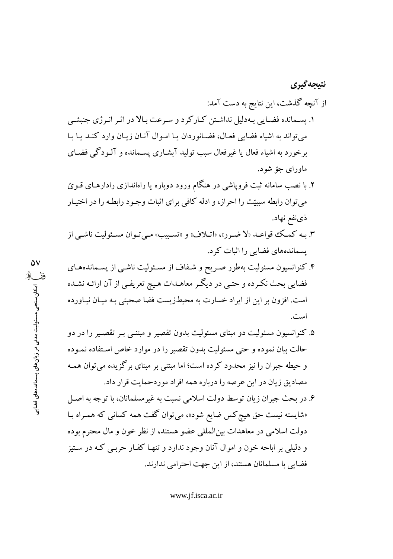# از آنچه گذشت، این نتایج به دست آمد: ۱. پسـمانده فضـايي بـهدليل نداشـتن كـاركرد و سـرعت بـالا در اثـر انـرژي جنبشـي مي تواند به اشياء فضايي فعـال، فضـانوردان يـا امـوال آنـان زيـان وارد كنـد يـا بـا برخورد به اشیاء فعال یا غیرفعال سبب تولید آبشـاری پسـمانده و آلـودگی فضـای ماوراي جوّ شود.

نتيجه گيري

- ۲. با نصب سامانه ثبت فرویاشی در هنگام ورود دوباره یا راهاندازی رادارهـای قـویّ می توان رابطه سببیّت را احراز، و ادله کافی برای اثبات وجـود رابطـه را در اختیـار ذي نفع نهاد.
- ۳. بـه كمك قواعـد «لا ضـرر»، «اتـلاف» و «تسـبيب» مـى تـوان مسـئوليت ناشـى از پسماندههای فضایی را اثبات کرد.
- ۴. کنوانسیون مسئولیت بهطور صـریح و شـفاف از مسـئولیت ناشـی از پسـماندههـای فضایی بحث نکرده و حتبی در دیگر معاهـدات هـیچ تعریفـی از آن ارائـه نشـده است. افزون بر این از ایراد خسارت به محیطزیست فضا صحبتی بـه میـان نیـاورده است.
	- ۵. کنوانسیون مسئولیت دو مبنای مسئولیت بدون تقصیر و مبتنبی بـر تقصـیر را در دو حالت بیان نموده و حتی مسئولیت بدون تقصیر را در موارد خاص استفاده نمـوده و حیطه جبران را نیز محدود کرده است؛ اما مبتنی بر مبنای برگزیده می توان همـه مصاديق زيان در اين عرصه را درباره همه افراد موردحمايت قرار داد.
- ۶. در بحث جبران زيان توسط دولت اسلامي نسبت به غير مسلمانان، با توجه به اصل «شایسته نیست حق هیچ کس ضایع شود»، میتوان گفت همه کسانی که همـراه بـا دولت اسلامی در معاهدات بینالمللی عضو هستند، از نظر خون و مال محترم بوده و دلیلی بر اباحه خون و اموال آنان وجود ندارد و تنهـا کفـار حربـی کـه در سـتيز فضایی با مسلمانان هستند، از این جهت احترامی ندارند.

www.jf.isca.ac.ir

 $\Delta V$ ففك مکان سنجی مسئولیت مدنی در زیان های پسماندههای فضایر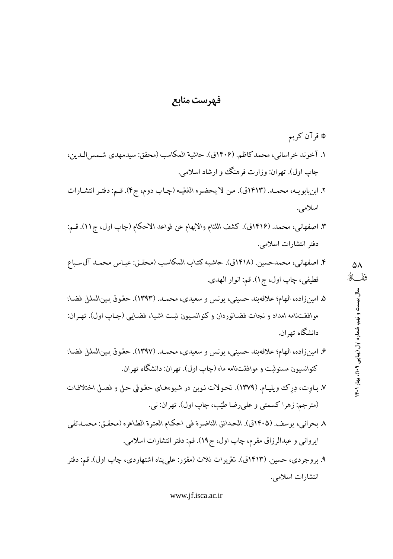### فهرست منابع

- \* قرآن كريم ١. آخوند خراساني، محمدكاظم. (١۴٠۶ق). حاشية المكاسب (محقق: سيدمهدي شـمس|لـدين، چاپ اول). تهران: وزارت فرهنگ وو ارشاد اسلامی.
- ٢. ابنبابويـه، محمـد. (١٤١٣ق). من لا يحضره الفقيـه (چـاپ دوم، ج۴). قـم: دفتـر انتشـارات اسلامي.
- ٣. اصفهاني، محمد. (١٤١۶ق). كشف اللثام والابهام عن قواعد الاحكام (چاپ اول، ج١١). قـم: دفتر انتشارات اسلامي.
- ۴. اصفهاني، محمدحسين. (١٤١٨ق). حاشيه كتاب المكاسب (محقيق: عياس محميد آل سياع قطيفي، چاپ اول، ج١). قم: انوار الهدي.
- ۵. امینزاده، الهام؛ علاقهبند حسینی، یونس و سعیدی، محمـد. (۱۳۹۳). حقوق بـین\لملل فضـا: موافقتنامه امداد و نجات فضانوردان و کنوانسیون ثبت اشیاء فضایی (چـاپ اول). تهـران: دانشگاه تهران.
- ۶. امینزاده، الهام؛ علاقهبند حسینی، یونس و سعیدی، محمـد. (۱۳۹۷). حقوق بـین\لملل فضـا: کنوانسیون مسئولیت و موافقتنامه ماه (چاپ اول). تهران: دانشگاه تهران.
- ٧. بـاوت، دِرك ويليـام. (١٣٧٩). تحـولات نـوين در شـيوههـاي حقـوقي حـل و فصـل اختلافـات (مترجم: زهرا كسمتي و علىرضا طيّب، چاپ اول). تهران: ني.
- ٨ بحراني، يوسف. (١٤٠٥ق). الحدائق الناضرة في احكـام العتـرة الطـاهره (محقـق: محمـدتقى ايرواني و عبدالرزاق مقرم، چاپ اول، ج١٩). قم: دفتر انتشارات اسلامي.
- ۹. بروجردي، حسين. (۱۴۱۳ق). تقريرات ثلاث (مقرّر: علي يناه اشتهاردي، چاپ اول). قم: دفتر انتشارات اسلامي.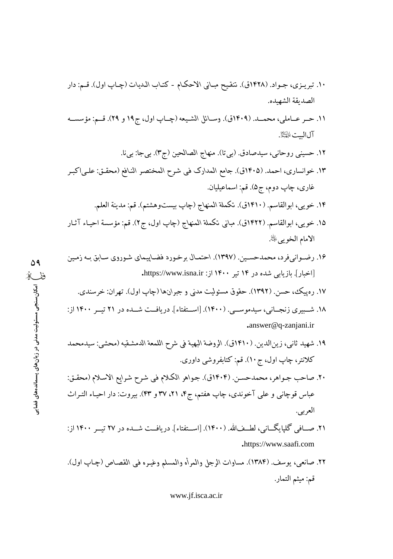- ١٠. تبريـزي، جـواد. (١٤٢٨ق). تنقيح مبـاني الاحكـام كتـاب الـديات (چـاپ اول). قـم: دار الصديقة الشهيده.
- ١١. حــر عــاملي، محمـــد. (١٤٠٩ق). وســائل الشـيعه (چــاپ اول، ج١٩ و ٢٩). قــم: مؤسســه آل البيت الحَيْلاً.
	- ١٢. حسيني روحاني، سيدصادق. (بي تا). منهاج الصالحين (ج٣). بيجا: بيi.
- ١٣. خوانساري، احمد. (١٤٠٥ق). جامع المدارك في شرح المختصر النافع (محقـق: علـي|كبـر غاري، چاپ دوم، ج۵). قم: اسماعيليان.
	- ١۴. خويي، ابوالقاسم. (١۴١٠ق). تكملة المنهاج (چاپ بيستووهشتم). قم: مدينة العلم.
- ١۵. خويبي، ابوالقاسم. (١۴٢٢ق). مباني تكملة المنهاج (چاپ اول، ج٢). قم: مؤسسة احيـاء آثـار الامام الخويي ﷺ.
- ۱۶. رضـوانيفرد، محمدحسـين. (۱۳۹۷). احتمـال برخـورد فضـاپيماي شـوروي سـابق بـه زمـين [اخبار]. بازیابی شده در ۱۴ تیر ۱۴۰۰ از: https://www.isna.ir.

۵۹

ففك

امکان سنجی مسئولیت مدنی در زیان های پسماندههای فضایو

- ۱۷. رهیپک، حسن. (۱۳۹۲). حقوق مسئولیت مدنی و جبرانها (چاپ اول). تهران: خرسندی.
- ۱۸. شــبیری زنجــانی، سیدموســی. (۱۴۰۰). [اســتفتاء]. دریافــت شــده در ۲۱ تیــر ۱۴۰۰ از: .answer@q-zanjani.ir
- ١٩. شهيد ثاني، زينالدين. (١٤١٠ق). الروضة البهية في شرح اللمعة الدمشقيه (محشى: سيدمحمد کلانتر، چاپ اول، ج ١٠). قم: کتابفروشي داوري.
- ٢٠. صاحب جـواهر، محمدحسـن. (١٤٠۴ق). جـواهر الكـلام في شـرح شـرايع الاسـلام (محقـق: عباس قوچانی و علی آخوندی، چاپ هفتم، ج۴، ۲۱، ۳۷ و ۴۳). بیروت: دار احیـاء التـراث العربي.
- ۲۱. صـافی گلیایگــانی، لطــفالله. (۱۴۰۰). [اســتفتاء]. دریافــت شــده در ۲۷ تیــر ۱۴۰۰ از: .https://www.saafi.com
- ٢٢. صانعي، يوسف. (١٣٨۴). مساوات الرجل والمرأه والمسلم وغيره في القصاص (چـاپ اول). قم: ميثم التمار.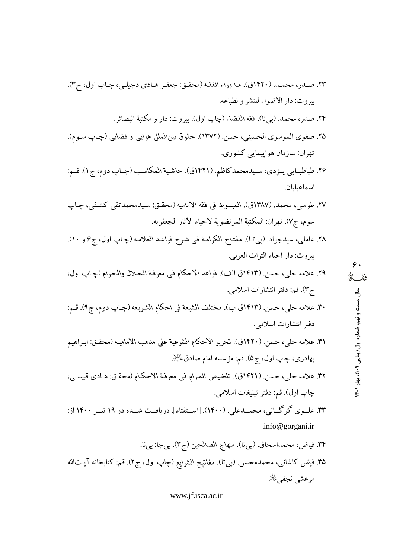- ۲۳. صـدر، محمـد. (۱۴۲۰ق). مـا وراء الفقـه (محقـق: جعفـر هـادي دجيلـي، چـاپ اول، ج۳). بيروت: دار الاضواء للنشر والطباعه.
	- ٢۴. صدر، محمد. (بيتا). فقه الفضاء (چاپ اول). بيروت: دار و مكتبة البصائر .
- ۲۵. صفوى الموسوى الحسيني، حسن. (۱۳۷۲). حقوق بين\لملل هوايبي و فضايبي (چـاپ ســوم). تھران: سازمان ہواپیمایی کشوری.
- ۲۶. طباطبـايي يـزدي، سـيدمحمدكاظم. (۱۴۲۱ق). حاشية المكاسب (چـاپ دوم، ج1). قـم: اسماعبلبان.
- ٢٧. طوسي، محمد. (١٣٨٧ق). المبسوط في فقه الاماميه (محقـق: سـيدمحمدتقي كشـفي، چـاپ سوم، ج٧). تهران: المكتبة المرتضوية لاحياء الآثار الجعفريه.
- ٢٨. عاملي، سيدجواد. (بيتا). مفتاح الكرامة في شرح قواعد العلامه (چـاپ اول، ج۶ و ١٠). بيروت: دار احياء التراث العربي.

- ٣٠. علامه حلي، حسن. (١٤١٣ق ب). مختلف الشيعة في احكام الشريعه (چـاپ دوم، ج٩). قـم: دفتر انتشارات اسلامی.
- ٣١. علامه حلي، حسن. (١٤٢٠ق). تحرير الاحكام الشرعية على مذهب الاماميـه (محقـق: ابـراهيم بھادری، چاپ اول، ج۵). قم: مؤسسه امام صادق $\mathbb{P}^1$ .
- ٣٢. علامه حلي، حسن. (١٤٢١ق). تلخيص المرام في معرفة الاحكام (محقـق: هـادي قبيسـي، چاپ اول). قم: دفتر تبليغات اسلامي.
- ۳۳. علــوی گرگــانی، محمــدعلی. (۱۴۰۰). [اســتفتاء]. دریافــت شــده در ۱۹ تیــر ۱۴۰۰ از: .info@gorgani.ir
- ٣۴. فياض، محمداسحاق. (بيتا). منهاج الصالحين (ج٣). بيجا: بيi. ٣۵. فيض كاشانبي، محمدمحسن. (بيتا). مفانيح الشرايع (چاپ اول، ج٢). قم: كتابخانه آيـتالله مرعشى نجفي ﷺ.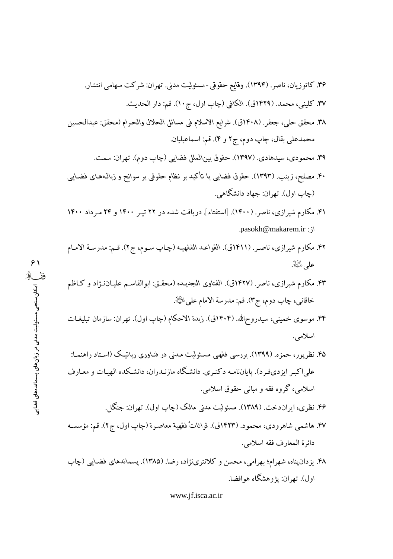.pasokh@makarem.ir: ;

 $\Delta$ wak $\Delta$ 

- ۴۲. مکارم شیرازی، ناصر. (۱۴۱۱ق). القواعد الفقهیـه (چـاپ سـوم، ج۲). قـم: مدرسـة الامـام على اللَّيْلَا
- ۴۳. مکارم شیرازی، ناصر. (۱۴۲۷ق). الفتاوی الجدیـده (محقـق: ابوالقاسـم علیـان نـژاد و کـاظم خاقاني، چاپ دوم، ج٣). قم: مدرسة الامام على ﷺ.
- ۴۴. موسوی خمینی، سیدروح\لله. (۱۴۰۴ق). زبدة الاحکام (چاپ اول). تهران: سازمان تبلیغـات اسلامی.
- ۴۵. نظریور، حمزه. (۱۳۹۹). بررسی فقهی مسئولیت مدنی در فنـاوری ربانیـک (اسـتاد راهنمـا: علیاکبر ایزدیفرد). پایاننامه دکتری. دانشگاه مازنـدران، دانشـکده الهیـات و معـارف اسلامي، گروه فقه و مباني حقوق اسلامي.
	- ۴۶. نظري، ايران دخت. (۱۳۸۹). مسئوليت مدني مالک (چاپ اول). تهران: جنگل.
- ۴۷. هاشمي شاهرودي، محمود. (۱۴۲۳ق). قراناتٌ فقهية معاصرة (چاپ اول، ج۲). قم: مؤسسه دائرة المعارف فقه اسلامي.
- ۴۸. یزدان پناه، شهرام؛ بهرامی، محسن و کلانترینژاد، رضا. (۱۳۸۵). پسماندهای فضایی (چاپ اول). تهران: يژوهشگاه هوافضا.

www.jf.isca.ac.ir

 $\hat{z}$ ریز<br>مگال سنجی مسئولیت مدنی در زبان های بسماندههای فضایی<br>''ثا  $1.5...1$ 

الموالد والمسحوطة

 $\sim$   $\sim$   $\sim$   $\sim$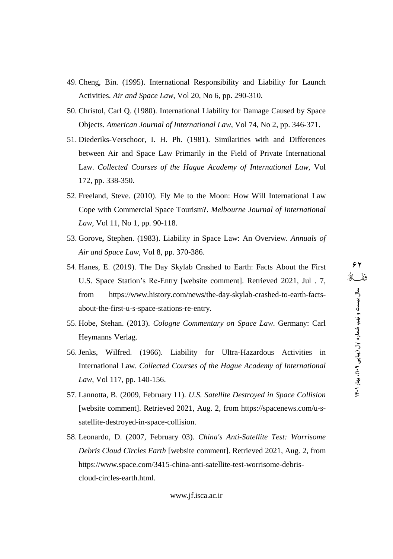- 49. Cheng, Bin. (1995). International Responsibility and Liability for Launch Activities. *Air and Space Law*, Vol 20, No 6, pp. 290-310.
- 50. Christol, Carl Q. (1980). International Liability for Damage Caused by Space Objects. *American Journal of International Law*, Vol 74, No 2, pp. 346-371.
- 51. Diederiks-Verschoor, I. H. Ph. (1981). Similarities with and Differences between Air and Space Law Primarily in the Field of Private International Law. Collected Courses of the Hague Academy of International Law, Vol 172, pp. 338-350.
- 52. Freeland, Steve. (2010). Fly Me to the Moon: How Will International Law Cope with Commercial Space Tourism?. *Melbourne Journal of International Law*, Vol 11, No 1, pp. 90-118.
- 53. Gorove**,** Stephen. (1983). Liability in Space Law: An Overview. *Annuals of Air and Space Law*, Vol 8, pp. 370-386.
- 54. Hanes, E. (2019). The Day Skylab Crashed to Earth: Facts About the First U.S. Space Stationís Re-Entry [website comment]. Retrieved 2021, Jul . 7, from [https://www.history.com/news/the-day-skylab-crashed-to-earth-facts](https://www.history.com/news/the-day-skylab-crashed-to-earth-facts-) about-the-first-u-s-space-stations-re-entry.
- 55. Hobe, Stehan. (2013). *Cologne Commentary on Space Law*. Germany: Carl Heymanns Verlag.
- 56. Jenks, Wilfred. (1966). Liability for Ultra-Hazardous Activities in International Law. *Collected Courses of the Hague Academy of International Law*, Vol 117, pp. 140-156.
- 57. Lannotta, B. (2009, February 11).*U.S. Satellite Destroyed in Space Collision* [website comment]. Retrieved 2021, Aug. 2, from [https://spacenews.com/u-s](https://spacenews.com/u-s-) satellite-destroyed-in-space-collision.
- 58. Leonardo, D. (2007, February 03). *China's Anti-Satellite Test: Worrisome Debris Cloud Circles Earth* [website comment]. Retrieved 2021, Aug. 2, from [https://www.space.com/3415-china-anti-satellite-test-worrisome-debris](https://www.space.com/3415-china-anti-satellite-test-worrisome-debris-) cloud-circles-earth.html.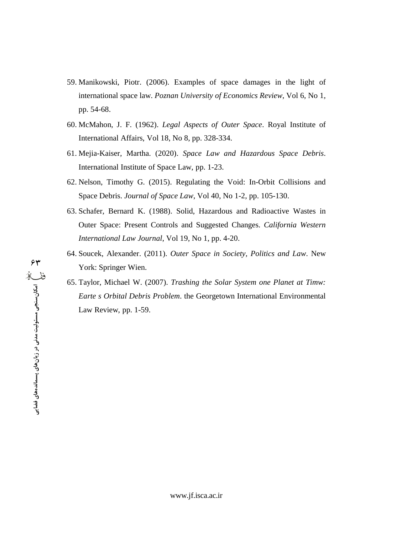- 59. Manikowski, Piotr. (2006). Examples of space damages in the light of international space law. Poznan University of Economics Review, Vol 6, No 1, pp. 54-68.
- 60. McMahon, J. F. (1962). Legal Aspects of Outer Space. Royal Institute of International Affairs, Vol 18, No 8, pp. 328-334.
- 61. Mejia-Kaiser, Martha. (2020). Space Law and Hazardous Space Debris. International Institute of Space Law, pp. 1-23.
- 62. Nelson, Timothy G. (2015). Regulating the Void: In-Orbit Collisions and Space Debris. Journal of Space Law, Vol 40, No 1-2, pp. 105-130.
- 63. Schafer, Bernard K. (1988). Solid, Hazardous and Radioactive Wastes in Outer Space: Present Controls and Suggested Changes. California Western International Law Journal, Vol 19, No 1, pp. 4-20.
- 64. Soucek, Alexander. (2011). Outer Space in Society, Politics and Law. New York: Springer Wien.
- 65. Taylor, Michael W. (2007). Trashing the Solar System one Planet at Timw: Earte s Orbital Debris Problem. the Georgetown International Environmental Law Review, pp. 1-59.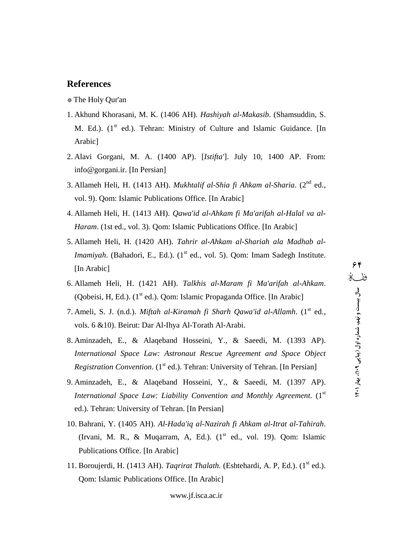- \* The Holy Qur'an
- 1. Akhund Khorasani, M. K. (1406 AH). *Hashiyah al-Makasib*. (Shamsuddin, S. M. Ed.). (1<sup>st</sup> ed.). Tehran: Ministry of Culture and Islamic Guidance. [In Arabic]
- 2. Alavi Gorgani, M. A. (1400 AP). [*Istifta'*]. July 10, 1400 AP. From: [info@gorgani.ir.](mailto:info@gorgani.ir.) [In Persian]
- 3. Allameh Heli, H. (1413 AH). *Mukhtalif al-Shia fi Ahkam al-Sharia*. (2 nd ed., vol. 9). Qom: Islamic Publications Office. [In Arabic]
- 4. Allameh Heli, H. (1413 AH). *Qawa'id al-Ahkam fi Ma'arifah al-Halal va al- Haram*. (1st ed., vol. 3). Qom: Islamic Publications Office. [In Arabic]
- 5. Allameh Heli, H. (1420 AH). *Tahrir al-Ahkam al-Shariah ala Madhab al-Imamiyah*. (Bahadori, E., Ed.). (1<sup>st</sup> ed., vol. 5). Qom: Imam Sadegh Institute. [In Arabic]
- 6. Allameh Heli, H. (1421 AH). *Talkhis al-Maram fi Ma'arifah al-Ahkam*. (Qobeisi, H, Ed.). (1<sup>st</sup> ed.). Qom: Islamic Propaganda Office. [In Arabic]
- 7. Ameli, S. J. (n.d.). *Miftah al-Kiramah fi Sharh Qawa'id al-Allamh*. (1 st ed., vols. 6 &10). Beirut: Dar Al-Ihya Al-Torath Al-Arabi.
- 8. Aminzadeh, E., & Alaqeband Hosseini, Y., & Saeedi, M. (1393 AP). *International Space Law: Astronaut Rescue Agreement and Space Object* Registration Convention. (1<sup>st</sup> ed.). Tehran: University of Tehran. [In Persian]
- 9. Aminzadeh, E., & Alaqeband Hosseini, Y., & Saeedi, M. (1397 AP). *International Space Law: Liability Convention and Monthly Agreement*. (1 st ed.). Tehran: University of Tehran. [In Persian]
- 10. Bahrani, Y. (1405 AH). *Al-Hada'iq al-Nazirah fi Ahkam al-Itratal-Tahirah*. (Irvani, M. R., & Muqarram, A, Ed.). (1 st ed., vol. 19). Qom: Islamic Publications Office. [In Arabic]
- 11. Boroujerdi, H. (1413 AH). *Taqrirat Thalath*. (Eshtehardi, A. P, Ed.). (1<sup>st</sup> ed.). Qom: Islamic Publications Office. [In Arabic]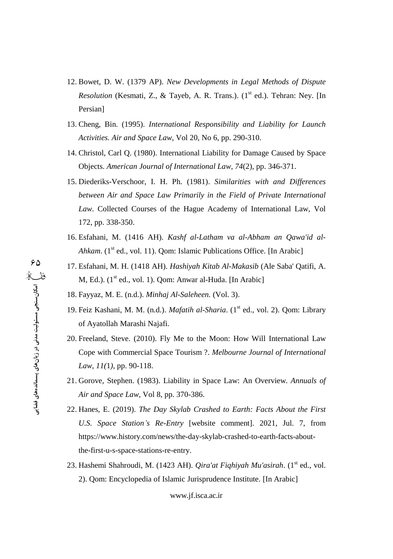- 12. Bowet, D. W. (1379 AP). New Developments in Legal Methods of Dispute Resolution (Kesmati, Z., & Tayeb, A. R. Trans.). (1<sup>st</sup> ed.). Tehran: Ney. [In Persian]
- 13. Cheng, Bin. (1995). International Responsibility and Liability for Launch Activities. Air and Space Law, Vol 20, No 6, pp. 290-310.
- 14. Christol, Carl Q. (1980). International Liability for Damage Caused by Space Objects. American Journal of International Law, 74(2), pp. 346-371.
- 15. Diederiks-Verschoor, I. H. Ph. (1981). Similarities with and Differences between Air and Space Law Primarily in the Field of Private International Law. Collected Courses of the Hague Academy of International Law, Vol 172, pp. 338-350.
- 16. Esfahani, M. (1416 AH). Kashf al-Latham va al-Abham an Qawa'id al-Ahkam. (1<sup>st</sup> ed., vol. 11). Qom: Islamic Publications Office. [In Arabic]
- 17. Esfahani, M. H. (1418 AH). Hashiyah Kitab Al-Makasib (Ale Saba' Qatifi, A. M, Ed.). (1<sup>st</sup> ed., vol. 1). Qom: Anwar al-Huda. [In Arabic]
- 18. Fayyaz, M. E. (n.d.). Minhaj Al-Saleheen. (Vol. 3).
- 19. Feiz Kashani, M. M. (n.d.). Mafatih al-Sharia. (1<sup>st</sup> ed., vol. 2). Qom: Library of Ayatollah Marashi Najafi.
- 20. Freeland, Steve. (2010). Fly Me to the Moon: How Will International Law Cope with Commercial Space Tourism ?. Melbourne Journal of International Law,  $11(1)$ , pp. 90-118.
- 21. Gorove, Stephen. (1983). Liability in Space Law: An Overview. Annuals of Air and Space Law, Vol 8, pp. 370-386.
- 22. Hanes, E. (2019). The Day Skylab Crashed to Earth: Facts About the First U.S. Space Station's Re-Entry [website comment]. 2021, Jul. 7, from https://www.history.com/news/the-day-skylab-crashed-to-earth-facts-aboutthe-first-u-s-space-stations-re-entry.
- 23. Hashemi Shahroudi, M. (1423 AH). *Qira'at Fiqhiyah Mu'asirah*. (1<sup>st</sup> ed., vol. 2). Qom: Encyclopedia of Islamic Jurisprudence Institute. [In Arabic]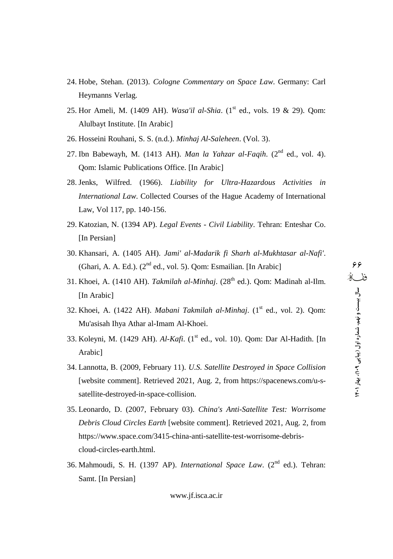- 24. Hobe, Stehan. (2013). *Cologne Commentary on Space Law*. Germany: Carl Heymanns Verlag.
- 25. Hor Ameli, M. (1409 AH). *Wasa'il al-Shia*. (1 st ed., vols. 19 & 29). Qom: Alulbayt Institute. [In Arabic]
- 26. Hosseini Rouhani, S. S. (n.d.). *Minhaj Al-Saleheen*. (Vol. 3).
- 27. Ibn Babewayh, M. (1413 AH). *Man la Yahzar al-Faqih*. (2 nd ed., vol. 4). Qom: Islamic Publications Office. [In Arabic]
- 28. Jenks, Wilfred. (1966). *Liability for Ultra-Hazardous Activities in International Law*. Collected Courses of the Hague Academy of International Law, Vol 117, pp. 140-156.
- 29. Katozian, N. (1394 AP). *Legal Events Civil Liability*. Tehran: Enteshar Co. [In Persian]
- 30. Khansari, A. (1405 AH). *Jami' al-Madarik fi Sharh al-Mukhtasar al-Nafi'*. (Ghari, A. A. Ed.). (2<sup>nd</sup> ed., vol. 5). Qom: Esmailian. [In Arabic]
- 31. Khoei, A. (1410 AH). *Takmilah al-Minhaj*. (28<sup>th</sup> ed.). Qom: Madinah al-Ilm. [In Arabic]
- 32. Khoei, A. (1422 AH). *Mabani Takmilah al-Minhaj*. (1 st ed., vol. 2). Qom: Mu'asisah Ihya Athar al-Imam Al-Khoei.
- 33. Koleyni, M. (1429 AH). *Al-Kafi*. (1 st ed., vol. 10). Qom: Dar Al-Hadith. [In Arabic]
- 34. Lannotta, B. (2009, February 11).*U.S. Satellite Destroyed in Space Collision* [website comment]. Retrieved 2021, Aug. 2, from [https://spacenews.com/u-s](https://spacenews.com/u-s-) satellite-destroyed-in-space-collision.
- 35. Leonardo, D. (2007, February 03). *China's Anti-Satellite Test: Worrisome Debris Cloud Circles Earth* [website comment]. Retrieved 2021, Aug. 2, from [https://www.space.com/3415-china-anti-satellite-test-worrisome-debris](https://www.space.com/3415-china-anti-satellite-test-worrisome-debris-) cloud-circles-earth.html.
- 36. Mahmoudi, S. H. (1397 AP). *International Space Law*. (2 nd ed.). Tehran: Samt. [In Persian]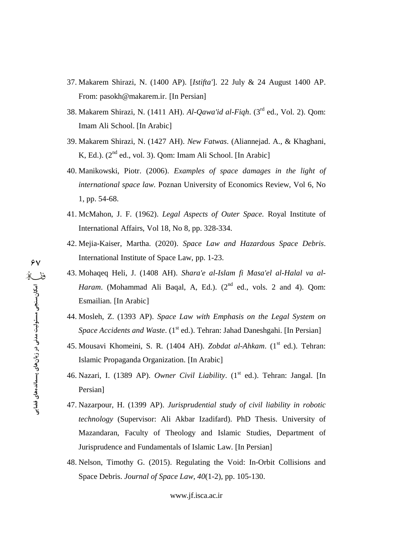- 37. Makarem Shirazi, N. (1400 AP). [*Istifta'*]. 22 July & 24 August 1400 AP. From: [pasokh@makarem.ir.](mailto:pasokh@makarem.ir.) [In Persian]
- 38. Makarem Shirazi, N. (1411 AH). *Al-Qawa'id al-Fiqh*. (3<sup>rd</sup> ed., Vol. 2). Qom: Imam Ali School. [In Arabic]
- 39. Makarem Shirazi, N. (1427 AH). *New Fatwas*. (Aliannejad. A., & Khaghani, K, Ed.). (2<sup>nd</sup> ed., vol. 3). Qom: Imam Ali School. [In Arabic]
- 40. Manikowski, Piotr. (2006). *Examples of space damages in the light of international space law.* Poznan University of Economics Review, Vol 6, No 1, pp. 54-68.
- 41. McMahon, J. F. (1962). *Legal Aspects of Outer Space.* Royal Institute of International Affairs, Vol 18, No 8, pp. 328-334.
- 42. Mejia-Kaiser, Martha. (2020). *Space Law and Hazardous Space Debris*. International Institute of Space Law, pp. 1-23.
- 43. Mohaqeq Heli, J. (1408 AH). *Shara'e al-Islam fi Masa'el al-Halal va al-* Haram. (Mohammad Ali Baqal, A, Ed.). (2<sup>nd</sup> ed., vols. 2 and 4). Qom: Esmailian. [In Arabic]
- 44. Mosleh, Z. (1393 AP). *Space Law with Emphasis on the Legal System on* Space Accidents and Waste. (1<sup>st</sup> ed.). Tehran: Jahad Daneshgahi. [In Persian]
- 45. Mousavi Khomeini, S. R. (1404 AH). *Zobdat al-Ahkam*. (1<sup>st</sup> ed.). Tehran: Islamic Propaganda Organization. [In Arabic]
- 46. Nazari, I. (1389 AP). *Owner Civil Liability*. (1 st ed.). Tehran: Jangal. [In Persian]
- 47. Nazarpour, H. (1399 AP). *Jurisprudential study ofcivil liability in robotic technology* (Supervisor: Ali Akbar Izadifard). PhD Thesis. University of Mazandaran, Faculty of Theology and Islamic Studies, Department of Jurisprudence and Fundamentals of Islamic Law. [In Persian]
- 48. Nelson, Timothy G. (2015). Regulating the Void: In-Orbit Collisions and Space Debris. *Journal of Space Law*, *40*(1-2), pp. 105-130.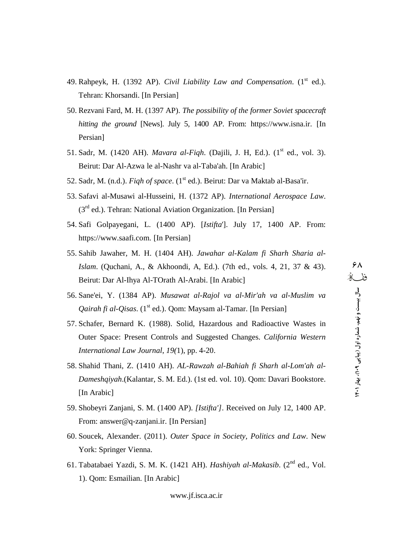- 49. Rahpeyk, H. (1392 AP). *Civil Liability Law and Compensation*. (1 st ed.). Tehran: Khorsandi. [In Persian]
- 50. Rezvani Fard, M. H. (1397 AP). *The possibility of the former Soviet spacecraft hitting the ground* [News]. July 5, 1400 AP. From: <https://www.isna.ir.> [In Persian]
- 51. Sadr, M. (1420 AH). *Mavara al-Fiqh*. (Dajili, J. H, Ed.). (1 st ed., vol. 3). Beirut: Dar Al-Azwa le al-Nashr va al-Taba'ah. [In Arabic]
- 52. Sadr, M. (n.d.). *Fiqh of space*. (1 st ed.). Beirut: Dar va Maktab al-Basa'ir.
- 53. Safavi al-Musawi al-Husseini, H. (1372 AP). *International Aerospace Law*. (3<sup>rd</sup> ed.). Tehran: National Aviation Organization. [In Persian]
- 54. Safi Golpayegani, L. (1400 AP). [*Istifta*']. July 17, 1400 AP. From: <https://www.saafi.com.> [In Persian]
- 55. Sahib Jawaher, M. H. (1404 AH). *Jawahar al-Kalam fi Sharh Sharia al-Islam.* (Quchani, A., & Akhoondi, A, Ed.). (7th ed., vols. 4, 21, 37 & 43). Beirut: Dar Al-Ihya Al-TOrath Al-Arabi. [In Arabic]
- 56. Sane'ei, Y. (1384 AP). *Musawat al-Rajol va al-Mir'ah va al-Muslim va Qairah fi al-Qisas*. (1 st ed.). Qom: Maysam al-Tamar. [In Persian]
- 57. Schafer, Bernard K. (1988). Solid, Hazardous and Radioactive Wastes in Outer Space: Present Controls and Suggested Changes. *California Western International Law Journal*, *19(*1), pp. 4-20.
- 58. Shahid Thani, Z. (1410 AH). *AL-Rawzah al-Bahiah fi Sharh al-Lom'ah al- Dameshqiyah*.(Kalantar, S. M. Ed.). (1st ed. vol. 10). Qom: Davari Bookstore. [In Arabic]
- 59. Shobeyri Zanjani, S. M. (1400 AP). *[Istifta']*. Received on July 12, 1400 AP.<br>From: answer@q-zanjani.ir. [In Persian]
- 60. Soucek, Alexander. (2011). *Outer Space in Society, Politics and Law*. New York: Springer Vienna.
- 61. Tabatabaei Yazdi, S. M. K. (1421 AH). *Hashiyah al-Makasib*. (2 nd ed., Vol. 1). Qom: Esmailian. [In Arabic]